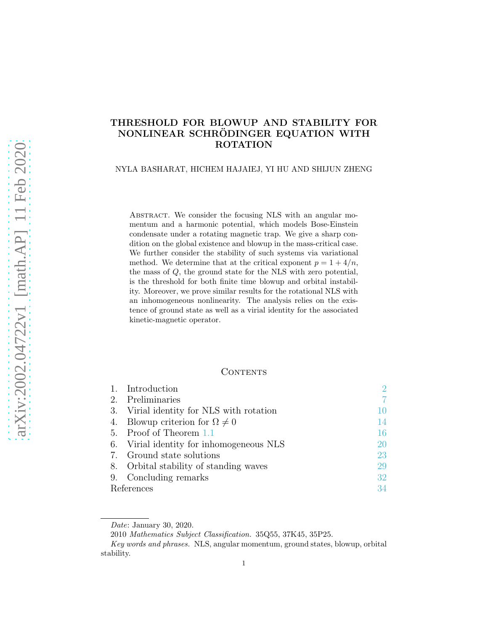# THRESHOLD FOR BLOWUP AND STABILITY FOR NONLINEAR SCHRÖDINGER EQUATION WITH ROTATION

#### NYLA BASHARAT, HICHEM HAJAIEJ, YI HU AND SHIJUN ZHENG

ABSTRACT. We consider the focusing NLS with an angular momentum and a harmonic potential, which models Bose-Einstein condensate under a rotating magnetic trap. We give a sharp condition on the global existence and blowup in the mass-critical case. We further consider the stability of such systems via variational method. We determine that at the critical exponent  $p = 1 + 4/n$ , the mass of Q, the ground state for the NLS with zero potential, is the threshold for both finite time blowup and orbital instability. Moreover, we prove similar results for the rotational NLS with an inhomogeneous nonlinearity. The analysis relies on the existence of ground state as well as a virial identity for the associated kinetic-magnetic operator.

# CONTENTS

|            | 1. Introduction                          |    |
|------------|------------------------------------------|----|
| 2.         | Preliminaries                            |    |
| 3.         | Virial identity for NLS with rotation    | 10 |
| 4.         | Blowup criterion for $\Omega \neq 0$     | 14 |
|            | 5. Proof of Theorem 1.1                  | 16 |
|            | 6. Virial identity for inhomogeneous NLS | 20 |
|            | 7. Ground state solutions                | 23 |
|            | 8. Orbital stability of standing waves   | 29 |
|            | 9. Concluding remarks                    | 32 |
| References |                                          | 34 |

Date: January 30, 2020.

<sup>2010</sup> Mathematics Subject Classification. 35Q55, 37K45, 35P25.

Key words and phrases. NLS, angular momentum, ground states, blowup, orbital stability.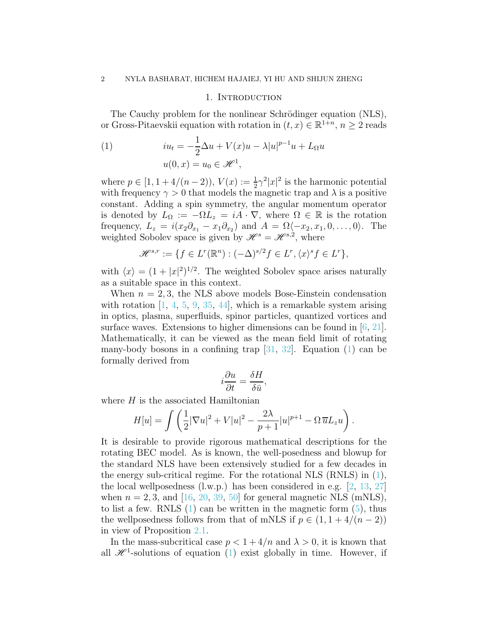## 1. INTRODUCTION

<span id="page-1-0"></span>The Cauchy problem for the nonlinear Schrödinger equation (NLS), or Gross-Pitaevskii equation with rotation in  $(t, x) \in \mathbb{R}^{1+n}$ ,  $n \ge 2$  reads

<span id="page-1-1"></span>(1) 
$$
iu_t = -\frac{1}{2}\Delta u + V(x)u - \lambda|u|^{p-1}u + L_{\Omega}u
$$

$$
u(0, x) = u_0 \in \mathscr{H}^1,
$$

where  $p \in [1, 1 + 4/(n-2)), V(x) := \frac{1}{2}\gamma^2 |x|^2$  is the harmonic potential with frequency  $\gamma > 0$  that models the magnetic trap and  $\lambda$  is a positive constant. Adding a spin symmetry, the angular momentum operator is denoted by  $L_{\Omega} := -\Omega L_z = iA \cdot \nabla$ , where  $\Omega \in \mathbb{R}$  is the rotation frequency,  $L_z = i(x_2\partial_{x_1} - x_1\partial_{x_2})$  and  $A = \Omega(-x_2, x_1, 0, \ldots, 0)$ . The weighted Sobolev space is given by  $\mathcal{H}^s = \mathcal{H}^{s,2}$ , where

$$
\mathcal{H}^{s,r} := \{ f \in L^r(\mathbb{R}^n) : (-\Delta)^{s/2} f \in L^r, \langle x \rangle^s f \in L^r \},
$$

with  $\langle x \rangle = (1 + |x|^2)^{1/2}$ . The weighted Sobolev space arises naturally as a suitable space in this context.

When  $n = 2, 3$ , the NLS above models Bose-Einstein condensation with rotation  $[1, 4, 5, 9, 35, 44]$  $[1, 4, 5, 9, 35, 44]$  $[1, 4, 5, 9, 35, 44]$  $[1, 4, 5, 9, 35, 44]$  $[1, 4, 5, 9, 35, 44]$  $[1, 4, 5, 9, 35, 44]$  $[1, 4, 5, 9, 35, 44]$  $[1, 4, 5, 9, 35, 44]$  $[1, 4, 5, 9, 35, 44]$  $[1, 4, 5, 9, 35, 44]$ , which is a remarkable system arising in optics, plasma, superfluids, spinor particles, quantized vortices and surface waves. Extensions to higher dimensions can be found in  $[6, 21]$  $[6, 21]$ . Mathematically, it can be viewed as the mean field limit of rotating many-body bosons in a confining trap [\[31,](#page-34-1) [32\]](#page-34-2). Equation [\(1\)](#page-1-1) can be formally derived from

$$
i\frac{\partial u}{\partial t} = \frac{\delta H}{\delta \bar{u}},
$$

where  $H$  is the associated Hamiltonian

$$
H[u] = \int \left(\frac{1}{2}|\nabla u|^2 + V|u|^2 - \frac{2\lambda}{p+1}|u|^{p+1} - \Omega \,\overline{u}L_z u\right).
$$

It is desirable to provide rigorous mathematical descriptions for the rotating BEC model. As is known, the well-posedness and blowup for the standard NLS have been extensively studied for a few decades in the energy sub-critical regime. For the rotational NLS (RNLS) in [\(1\)](#page-1-1), the local wellposedness (l.w.p.) has been considered in e.g. [\[2,](#page-33-6) [13,](#page-33-7) [27\]](#page-34-3) when  $n = 2, 3$ , and [\[16,](#page-34-4) [20,](#page-34-5) [39,](#page-35-2) [50\]](#page-35-3) for general magnetic NLS (mNLS), to list a few. RNLS  $(1)$  can be written in the magnetic form  $(5)$ , thus the wellposedness follows from that of mNLS if  $p \in (1, 1 + 4/(n-2))$ in view of Proposition [2.1.](#page-6-2)

In the mass-subcritical case  $p < 1 + 4/n$  and  $\lambda > 0$ , it is known that all  $\mathscr{H}^1$ -solutions of equation [\(1\)](#page-1-1) exist globally in time. However, if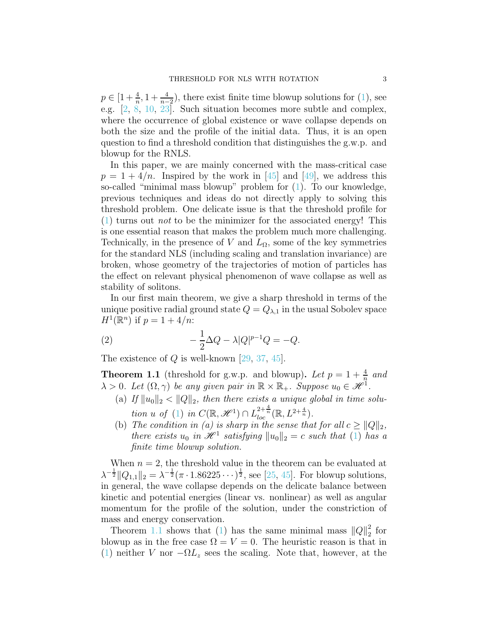$p \in \left[1+\frac{4}{n}, 1+\frac{4}{n-2}\right)$ , there exist finite time blowup solutions for [\(1\)](#page-1-1), see e.g. [\[2,](#page-33-6) [8,](#page-33-8) [10,](#page-33-9) [23\]](#page-34-6). Such situation becomes more subtle and complex, where the occurrence of global existence or wave collapse depends on both the size and the profile of the initial data. Thus, it is an open question to find a threshold condition that distinguishes the g.w.p. and blowup for the RNLS.

In this paper, we are mainly concerned with the mass-critical case  $p = 1 + 4/n$ . Inspired by the work in [\[45\]](#page-35-4) and [\[49\]](#page-35-5), we address this so-called "minimal mass blowup" problem for [\(1\)](#page-1-1). To our knowledge, previous techniques and ideas do not directly apply to solving this threshold problem. One delicate issue is that the threshold profile for [\(1\)](#page-1-1) turns out not to be the minimizer for the associated energy! This is one essential reason that makes the problem much more challenging. Technically, in the presence of V and  $L_{\Omega}$ , some of the key symmetries for the standard NLS (including scaling and translation invariance) are broken, whose geometry of the trajectories of motion of particles has the effect on relevant physical phenomenon of wave collapse as well as stability of solitons.

In our first main theorem, we give a sharp threshold in terms of the unique positive radial ground state  $Q = Q_{\lambda,1}$  in the usual Sobolev space  $H^1(\mathbb{R}^n)$  if  $p=1+4/n$ :

<span id="page-2-1"></span>(2) 
$$
-\frac{1}{2}\Delta Q - \lambda |Q|^{p-1}Q = -Q.
$$

The existence of  $Q$  is well-known [\[29,](#page-34-7) [37,](#page-35-6) [45\]](#page-35-4).

<span id="page-2-0"></span>**Theorem 1.1** (threshold for g.w.p. and blowup). Let  $p = 1 + \frac{4}{n}$  and  $\lambda > 0$ . Let  $(\Omega, \gamma)$  be any given pair in  $\mathbb{R} \times \mathbb{R}_+$ . Suppose  $u_0 \in \mathscr{H}^1$ .

- (a) If  $||u_0||_2 < ||Q||_2$ , then there exists a unique global in time solu-tion u of [\(1\)](#page-1-1) in  $C(\mathbb{R}, \mathcal{H}^1) \cap L^{2+\frac{4}{n}}_{loc}(\mathbb{R}, L^{2+\frac{4}{n}})$ .
- (b) The condition in (a) is sharp in the sense that for all  $c \geq ||Q||_2$ , there exists  $u_0$  in  $\mathscr{H}^1$  satisfying  $||u_0||_2 = c$  such that [\(1\)](#page-1-1) has a finite time blowup solution.

When  $n = 2$ , the threshold value in the theorem can be evaluated at  $\lambda^{-\frac{1}{2}} \|Q_{1,1}\|_2 = \lambda^{-\frac{1}{2}} (\pi \cdot 1.86225 \cdots)^{\frac{1}{2}}$ , see [\[25,](#page-34-8) [45\]](#page-35-4). For blowup solutions, in general, the wave collapse depends on the delicate balance between kinetic and potential energies (linear vs. nonlinear) as well as angular momentum for the profile of the solution, under the constriction of mass and energy conservation.

Theorem [1.1](#page-2-0) shows that [\(1\)](#page-1-1) has the same minimal mass  $||Q||_2^2$  $\frac{2}{2}$  for blowup as in the free case  $\Omega = V = 0$ . The heuristic reason is that in [\(1\)](#page-1-1) neither V nor  $-\Omega L_z$  sees the scaling. Note that, however, at the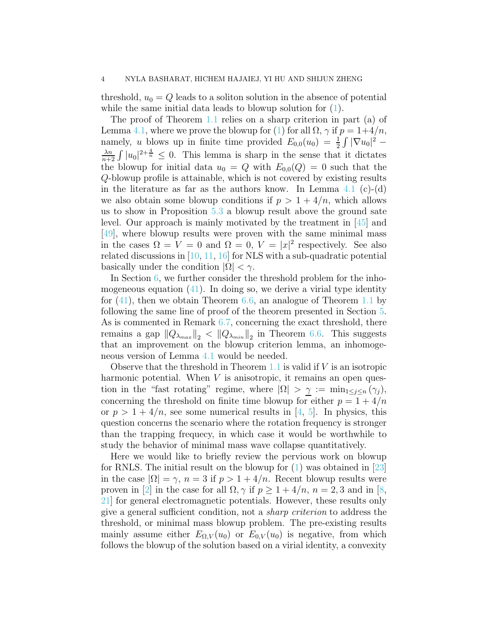threshold,  $u_0 = Q$  leads to a soliton solution in the absence of potential while the same initial data leads to blowup solution for  $(1)$ .

The proof of Theorem [1.1](#page-2-0) relies on a sharp criterion in part (a) of Lemma [4.1,](#page-13-1) where we prove the blowup for [\(1\)](#page-1-1) for all  $\Omega$ ,  $\gamma$  if  $p = 1+4/n$ , namely, u blows up in finite time provided  $E_{0,0}(u_0) = \frac{1}{2} \int |\nabla u_0|^2$  $\lambda n$  $\frac{\lambda n}{n+2} \int |u_0|^{2+\frac{4}{n}} \leq 0$ . This lemma is sharp in the sense that it dictates the blowup for initial data  $u_0 = Q$  with  $E_{0,0}(Q) = 0$  such that the Q-blowup profile is attainable, which is not covered by existing results in the literature as far as the authors know. In Lemma  $4.1 \text{ (c)-(d)}$  $4.1 \text{ (c)-(d)}$ we also obtain some blowup conditions if  $p > 1 + 4/n$ , which allows us to show in Proposition [5.3](#page-18-0) a blowup result above the ground sate level. Our approach is mainly motivated by the treatment in [\[45\]](#page-35-4) and [\[49\]](#page-35-5), where blowup results were proven with the same minimal mass in the cases  $\Omega = V = 0$  and  $\Omega = 0$ ,  $V = |x|^2$  respectively. See also related discussions in [\[10,](#page-33-9) [11,](#page-33-10) [16\]](#page-34-4) for NLS with a sub-quadratic potential basically under the condition  $|\Omega| < \gamma$ .

In Section [6,](#page-19-0) we further consider the threshold problem for the inhomogeneous equation  $(41)$ . In doing so, we derive a virial type identity for  $(41)$ , then we obtain Theorem [6.6,](#page-22-1) an analogue of Theorem [1.1](#page-2-0) by following the same line of proof of the theorem presented in Section [5.](#page-15-0) As is commented in Remark [6.7,](#page-22-2) concerning the exact threshold, there remains a gap  $||Q_{\lambda_{max}}||_2 < ||Q_{\lambda_{min}}||_2$  in Theorem [6.6.](#page-22-1) This suggests that an improvement on the blowup criterion lemma, an inhomogeneous version of Lemma [4.1](#page-13-1) would be needed.

Observe that the threshold in Theorem [1.1](#page-2-0) is valid if  $V$  is an isotropic harmonic potential. When  $V$  is anisotropic, it remains an open question in the "fast rotating" regime, where  $|\Omega| > \gamma := \min_{1 \leq j \leq n} (\gamma_j)$ , concerning the threshold on finite time blowup for either  $p = 1 + 4/n$ or  $p > 1 + 4/n$ , see some numerical results in [\[4,](#page-33-2) [5\]](#page-33-3). In physics, this question concerns the scenario where the rotation frequency is stronger than the trapping frequecy, in which case it would be worthwhile to study the behavior of minimal mass wave collapse quantitatively.

Here we would like to briefly review the pervious work on blowup for RNLS. The initial result on the blowup for [\(1\)](#page-1-1) was obtained in [\[23\]](#page-34-6) in the case  $|\Omega| = \gamma$ ,  $n = 3$  if  $p > 1 + 4/n$ . Recent blowup results were proven in [\[2\]](#page-33-6) in the case for all  $\Omega$ ,  $\gamma$  if  $p \geq 1 + 4/n$ ,  $n = 2, 3$  and in [\[8,](#page-33-8) [21\]](#page-34-0) for general electromagnetic potentials. However, these results only give a general sufficient condition, not a sharp criterion to address the threshold, or minimal mass blowup problem. The pre-existing results mainly assume either  $E_{\Omega,V}(u_0)$  or  $E_{0,V}(u_0)$  is negative, from which follows the blowup of the solution based on a virial identity, a convexity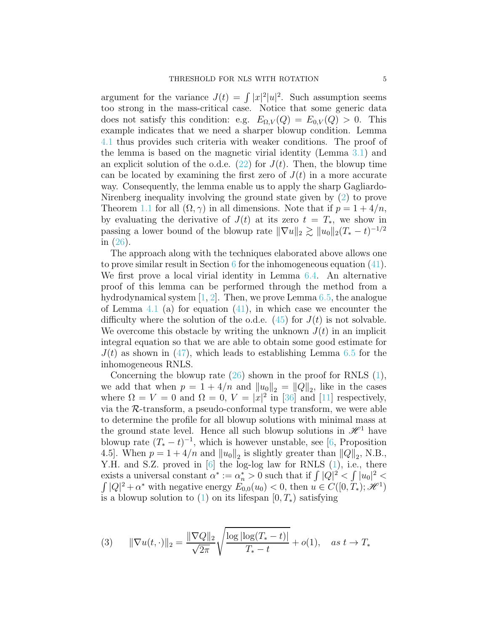argument for the variance  $J(t) = \int |x|^2 |u|^2$ . Such assumption seems too strong in the mass-critical case. Notice that some generic data does not satisfy this condition: e.g.  $E_{\Omega,V}(Q) = E_{0,V}(Q) > 0$ . This example indicates that we need a sharper blowup condition. Lemma [4.1](#page-13-1) thus provides such criteria with weaker conditions. The proof of the lemma is based on the magnetic virial identity (Lemma [3.1\)](#page-9-1) and an explicit solution of the o.d.e.  $(22)$  for  $J(t)$ . Then, the blowup time can be located by examining the first zero of  $J(t)$  in a more accurate way. Consequently, the lemma enable us to apply the sharp Gagliardo-Nirenberg inequality involving the ground state given by [\(2\)](#page-2-1) to prove Theorem [1.1](#page-2-0) for all  $(\Omega, \gamma)$  in all dimensions. Note that if  $p = 1 + 4/n$ , by evaluating the derivative of  $J(t)$  at its zero  $t = T_*$ , we show in passing a lower bound of the blowup rate  $\|\nabla u\|_2 \gtrsim \|u_0\|_2(T_* - t)^{-1/2}$ in [\(26\)](#page-14-0).

The approach along with the techniques elaborated above allows one to prove similar result in Section  $6$  for the inhomogeneous equation  $(41)$ . We first prove a local virial identity in Lemma [6.4.](#page-21-0) An alternative proof of this lemma can be performed through the method from a hydrodynamical system  $[1, 2]$  $[1, 2]$ . Then, we prove Lemma [6.5,](#page-21-1) the analogue of Lemma [4.1](#page-13-1) (a) for equation  $(41)$ , in which case we encounter the difficulty where the solution of the o.d.e.  $(45)$  for  $J(t)$  is not solvable. We overcome this obstacle by writing the unknown  $J(t)$  in an implicit integral equation so that we are able to obtain some good estimate for  $J(t)$  as shown in [\(47\)](#page-21-3), which leads to establishing Lemma [6.5](#page-21-1) for the inhomogeneous RNLS.

Concerning the blowup rate  $(26)$  shown in the proof for RNLS  $(1)$ , we add that when  $p = 1 + 4/n$  and  $||u_0||_2 = ||Q||_2$ , like in the cases where  $\Omega = V = 0$  and  $\Omega = 0$ ,  $V = |x|^2$  in [\[36\]](#page-35-7) and [\[11\]](#page-33-10) respectively, via the  $\mathcal{R}$ -transform, a pseudo-conformal type transform, we were able to determine the profile for all blowup solutions with minimal mass at the ground state level. Hence all such blowup solutions in  $\mathcal{H}^1$  have blowup rate  $(T_* - t)^{-1}$ , which is however unstable, see [\[6,](#page-33-5) Proposition] 4.5. When  $p = 1 + 4/n$  and  $||u_0||_2$  is slightly greater than  $||Q||_2$ , N.B., Y.H. and S.Z. proved in [\[6\]](#page-33-5) the log-log law for RNLS [\(1\)](#page-1-1), i.e., there exists a universal constant  $\alpha^* := \alpha_n^* > 0$  such that if  $\int |Q|^2 < \int |u_0|^2 <$  $\int |Q|^2 + \alpha^*$  with negative energy  $E_{0,0}(u_0) < 0$ , then  $u \in C([0, T_*); \mathcal{H}^1)$ is a blowup solution to  $(1)$  on its lifespan  $[0, T_*)$  satisfying

<span id="page-4-0"></span>(3) 
$$
\|\nabla u(t, \cdot)\|_2 = \frac{\|\nabla Q\|_2}{\sqrt{2\pi}} \sqrt{\frac{\log |\log(T_* - t)|}{T_* - t}} + o(1), \text{ as } t \to T_*
$$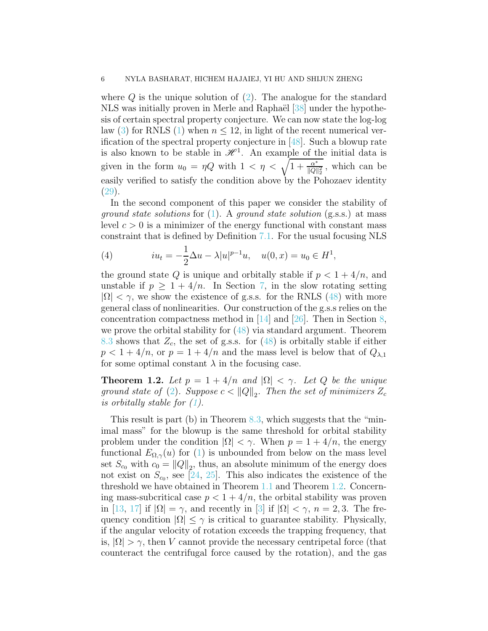where  $Q$  is the unique solution of  $(2)$ . The analogue for the standard NLS was initially proven in Merle and Raphaël [\[38\]](#page-35-8) under the hypothesis of certain spectral property conjecture. We can now state the log-log law [\(3\)](#page-4-0) for RNLS [\(1\)](#page-1-1) when  $n \leq 12$ , in light of the recent numerical verification of the spectral property conjecture in [\[48\]](#page-35-9). Such a blowup rate is also known to be stable in  $\mathscr{H}^1$ . An example of the initial data is given in the form  $u_0 = \eta Q$  with  $1 < \eta < \sqrt{1 + \frac{\alpha^*}{\|Q\|_2^2}}$ , which can be easily verified to satisfy the condition above by the Pohozaev identity [\(29\)](#page-16-0).

In the second component of this paper we consider the stability of *ground state solutions* for  $(1)$ . A *ground state solution*  $(g.s.s.)$  at mass level  $c > 0$  is a minimizer of the energy functional with constant mass constraint that is defined by Definition [7.1.](#page-23-0) For the usual focusing NLS

<span id="page-5-1"></span>(4) 
$$
iu_t = -\frac{1}{2}\Delta u - \lambda |u|^{p-1}u, \quad u(0, x) = u_0 \in H^1,
$$

the ground state Q is unique and orbitally stable if  $p < 1 + 4/n$ , and unstable if  $p \geq 1 + 4/n$ . In Section [7,](#page-22-0) in the slow rotating setting  $|\Omega| < \gamma$ , we show the existence of g.s.s. for the RNLS [\(48\)](#page-22-3) with more general class of nonlinearities. Our construction of the g.s.s relies on the concentration compactness method in  $[14]$  and  $[26]$ . Then in Section [8,](#page-28-0) we prove the orbital stability for [\(48\)](#page-22-3) via standard argument. Theorem [8.3](#page-29-0) shows that  $Z_c$ , the set of g.s.s. for  $(48)$  is orbitally stable if either  $p < 1 + 4/n$ , or  $p = 1 + 4/n$  and the mass level is below that of  $Q_{\lambda,1}$ for some optimal constant  $\lambda$  in the focusing case.

<span id="page-5-0"></span>**Theorem 1.2.** Let  $p = 1 + 4/n$  and  $|\Omega| < \gamma$ . Let Q be the unique ground state of [\(2\)](#page-2-1). Suppose  $c < ||Q||_2$ . Then the set of minimizers  $Z_c$ is orbitally stable for [\(1\)](#page-1-1).

This result is part (b) in Theorem [8.3,](#page-29-0) which suggests that the "minimal mass" for the blowup is the same threshold for orbital stability problem under the condition  $|\Omega| < \gamma$ . When  $p = 1 + 4/n$ , the energy functional  $E_{\Omega,\gamma}(u)$  for [\(1\)](#page-1-1) is unbounded from below on the mass level set  $S_{c_0}$  with  $c_0 = ||Q||_2$ , thus, an absolute minimum of the energy does not exist on  $S_{c_0}$ , see [\[24,](#page-34-10) [25\]](#page-34-8). This also indicates the existence of the threshold we have obtained in Theorem [1.1](#page-2-0) and Theorem [1.2.](#page-5-0) Concerning mass-subcritical case  $p < 1 + 4/n$ , the orbital stability was proven in [\[13,](#page-33-7) [17\]](#page-34-11) if  $|\Omega| = \gamma$ , and recently in [\[3\]](#page-33-12) if  $|\Omega| < \gamma$ ,  $n = 2, 3$ . The frequency condition  $|\Omega| \leq \gamma$  is critical to guarantee stability. Physically, if the angular velocity of rotation exceeds the trapping frequency, that is,  $|\Omega| > \gamma$ , then V cannot provide the necessary centripetal force (that counteract the centrifugal force caused by the rotation), and the gas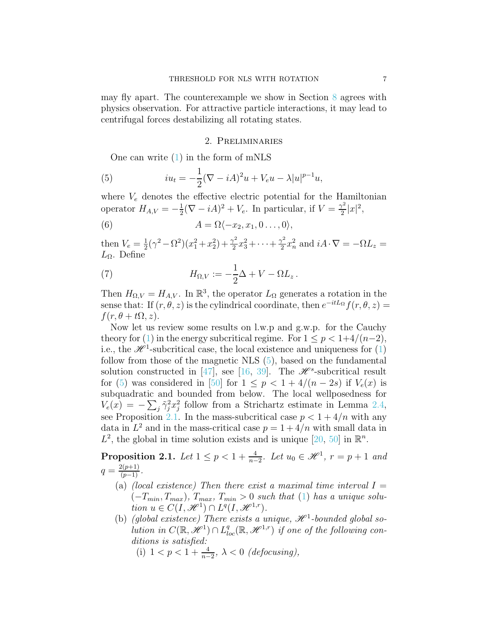may fly apart. The counterexample we show in Section [8](#page-28-0) agrees with physics observation. For attractive particle interactions, it may lead to centrifugal forces destabilizing all rotating states.

## 2. Preliminaries

<span id="page-6-0"></span>One can write [\(1\)](#page-1-1) in the form of mNLS

<span id="page-6-1"></span>(5) 
$$
iu_t = -\frac{1}{2}(\nabla - iA)^2 u + V_e u - \lambda |u|^{p-1}u,
$$

where  $V_e$  denotes the effective electric potential for the Hamiltonian operator  $H_{A,V} = -\frac{1}{2}$  $\frac{1}{2}(\nabla - iA)^2 + V_e$ . In particular, if  $V = \frac{\gamma^2}{2}$  $\frac{\gamma^2}{2}|x|^2,$ 

<span id="page-6-3"></span>(6) 
$$
A = \Omega \langle -x_2, x_1, 0 \ldots, 0 \rangle,
$$

then  $V_e = \frac{1}{2}$  $\frac{1}{2}(\gamma^2 - \Omega^2)(x_1^2 + x_2^2) + \frac{\gamma^2}{2}$  $\frac{\gamma^2}{2}x_3^2 + \cdots + \frac{\gamma^2}{2}$  $\frac{\gamma^2}{2}x_n^2$  and  $iA \cdot \nabla = -\Omega L_z =$  $L_{\Omega}$ . Define

<span id="page-6-4"></span>(7) 
$$
H_{\Omega,V} := -\frac{1}{2}\Delta + V - \Omega L_z.
$$

Then  $H_{\Omega,V} = H_{A,V}$ . In  $\mathbb{R}^3$ , the operator  $L_{\Omega}$  generates a rotation in the sense that: If  $(r, \theta, z)$  is the cylindrical coordinate, then  $e^{-itL_{\Omega}}f(r, \theta, z) =$  $f(r, \theta + t\Omega, z).$ 

Now let us review some results on l.w.p and g.w.p. for the Cauchy theory for [\(1\)](#page-1-1) in the energy subcritical regime. For  $1 \leq p < 1+4/(n-2)$ , i.e., the  $\mathscr{H}^1$ -subcritical case, the local existence and uniqueness for [\(1\)](#page-1-1) follow from those of the magnetic NLS [\(5\)](#page-6-1), based on the fundamental solution constructed in [\[47\]](#page-35-10), see [\[16,](#page-34-4) [39\]](#page-35-2). The  $\mathscr{H}^s$ -subcritical result for [\(5\)](#page-6-1) was considered in [\[50\]](#page-35-3) for  $1 \leq p < 1 + 4/(n - 2s)$  if  $V_e(x)$  is subquadratic and bounded from below. The local wellposedness for  $V_e(x) = -\sum_j \tilde{\gamma}_j^2 x_j^2$  follow from a Strichartz estimate in Lemma [2.4,](#page-8-0) see Proposition [2.1.](#page-6-2) In the mass-subcritical case  $p < 1 + 4/n$  with any data in  $L^2$  and in the mass-critical case  $p = 1 + 4/n$  with small data in  $L^2$ , the global in time solution exists and is unique [\[20,](#page-34-5) [50\]](#page-35-3) in  $\mathbb{R}^n$ .

<span id="page-6-2"></span>**Proposition 2.1.** Let  $1 \leq p < 1 + \frac{4}{n-2}$ . Let  $u_0 \in \mathcal{H}^1$ ,  $r = p + 1$  and  $q=\frac{2(p+1)}{(p-1)}$ .

- (a) (local existence) Then there exist a maximal time interval  $I =$  $(-T_{min}, T_{max})$ ,  $T_{max}, T_{min} > 0$  such that [\(1\)](#page-1-1) has a unique solution  $u \in C(I, \mathcal{H}^1) \cap L^q(I, \mathcal{H}^{1,r}).$
- (b) (global existence) There exists a unique,  $\mathcal{H}^1$ -bounded global solution in  $C(\mathbb{R}, \mathcal{H}^1) \cap L^q_{loc}(\mathbb{R}, \mathcal{H}^{1,r})$  if one of the following conditions is satisfied:
	- (i)  $1 < p < 1 + \frac{4}{n-2}$ ,  $\lambda < 0$  (defocusing),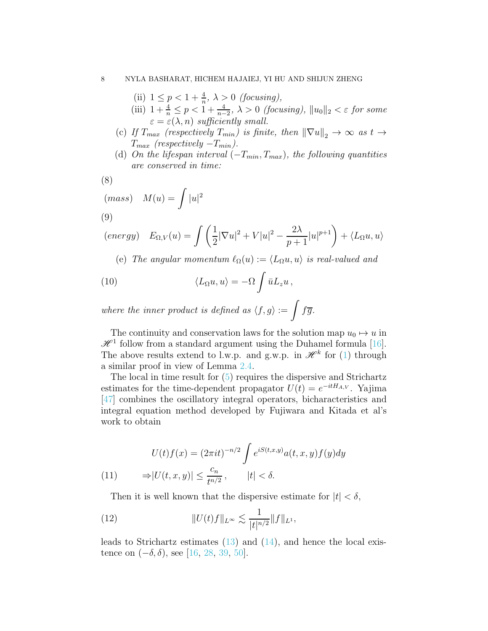## 8 NYLA BASHARAT, HICHEM HAJAIEJ, YI HU AND SHIJUN ZHENG

- (ii)  $1 \leq p < 1 + \frac{4}{n}$ ,  $\lambda > 0$  (focusing),
- (iii)  $1 + \frac{4}{n} \le p < 1 + \frac{4}{n-2}$ ,  $\lambda > 0$  (focusing),  $||u_0||_2 < \varepsilon$  for some  $\varepsilon = \varepsilon(\lambda, n)$  sufficiently small.
- (c) If  $T_{max}$  (respectively  $T_{min}$ ) is finite, then  $\|\nabla u\|_2 \to \infty$  as  $t \to$  $T_{max}$  (respectively  $-T_{min}$ ).
- (d) On the lifespan interval  $(-T_{min}, T_{max})$ , the following quantities are conserved in time:

$$
\left(8\right)
$$

$$
(mass) \quad M(u) = \int |u|^2
$$

<span id="page-7-1"></span>
$$
(9)
$$

$$
(energy) \quad E_{\Omega,V}(u) = \int \left(\frac{1}{2}|\nabla u|^2 + V|u|^2 - \frac{2\lambda}{p+1}|u|^{p+1}\right) + \langle L_{\Omega}u, u \rangle
$$

<span id="page-7-2"></span>(e) The angular momentum  $\ell_{\Omega}(u) := \langle L_{\Omega} u, u \rangle$  is real-valued and

(10) 
$$
\langle L_{\Omega} u, u \rangle = -\Omega \int \bar{u} L_z u,
$$

where the inner product is defined as  $\langle f, g \rangle := \int f \overline{g}$ .

The continuity and conservation laws for the solution map  $u_0 \mapsto u$  in  $\mathscr{H}^1$  follow from a standard argument using the Duhamel formula [\[16\]](#page-34-4). The above results extend to l.w.p. and g.w.p. in  $\mathcal{H}^k$  for [\(1\)](#page-1-1) through a similar proof in view of Lemma [2.4.](#page-8-0)

The local in time result for [\(5\)](#page-6-1) requires the dispersive and Strichartz estimates for the time-dependent propagator  $U(t) = e^{-itH_{A,V}}$ . Yajima [\[47\]](#page-35-10) combines the oscillatory integral operators, bicharacteristics and integral equation method developed by Fujiwara and Kitada et al's work to obtain

$$
U(t)f(x) = (2\pi i t)^{-n/2} \int e^{iS(t,x,y)} a(t,x,y) f(y) dy
$$
  
(11) 
$$
\Rightarrow |U(t,x,y)| \le \frac{c_n}{t^{n/2}}, \qquad |t| < \delta.
$$

Then it is well known that the dispersive estimate for  $|t| < \delta$ ,

<span id="page-7-0"></span>(12) 
$$
||U(t)f||_{L^{\infty}} \lesssim \frac{1}{|t|^{n/2}}||f||_{L^{1}},
$$

leads to Strichartz estimates  $(13)$  and  $(14)$ , and hence the local existence on  $(-\delta, \delta)$ , see [\[16,](#page-34-4) [28,](#page-34-12) [39,](#page-35-2) [50\]](#page-35-3).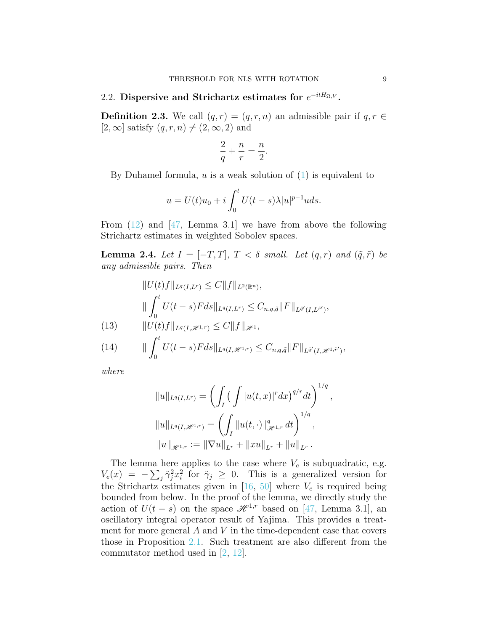# 2.2. Dispersive and Strichartz estimates for  $e^{-itH_{\Omega,V}}$ .

**Definition 2.3.** We call  $(q, r) = (q, r, n)$  an admissible pair if  $q, r \in$  $[2, \infty]$  satisfy  $(q, r, n) \neq (2, \infty, 2)$  and

$$
\frac{2}{q} + \frac{n}{r} = \frac{n}{2}
$$

.

By Duhamel formula,  $u$  is a weak solution of  $(1)$  is equivalent to

$$
u = U(t)u_0 + i \int_0^t U(t-s)\lambda |u|^{p-1}u ds.
$$

From [\(12\)](#page-7-0) and [\[47,](#page-35-10) Lemma 3.1] we have from above the following Strichartz estimates in weighted Sobolev spaces.

<span id="page-8-0"></span>**Lemma 2.4.** Let  $I = [-T, T]$ ,  $T < \delta$  small. Let  $(q, r)$  and  $(\tilde{q}, \tilde{r})$  be any admissible pairs. Then

$$
||U(t)f||_{L^{q}(I,L^{r})} \leq C||f||_{L^{2}(\mathbb{R}^{n})},
$$
  
\n
$$
||\int_{0}^{t} U(t-s)Fds||_{L^{q}(I,L^{r})} \leq C_{n,q,\tilde{q}}||F||_{L^{\tilde{q}'}(I,L^{\tilde{r}'})},
$$
  
\n(13) 
$$
||U(t)f||_{L^{q}(I,\mathscr{H}^{1,r})} \leq C||f||_{\mathscr{H}^{1}},
$$

<span id="page-8-2"></span><span id="page-8-1"></span>(14) 
$$
\| \int_0^{\infty} U(t-s)F ds \|_{L^q(I,\mathscr{H}^{1,r})} \leq C_{n,q,\tilde{q}} \|F\|_{L^{\tilde{q}'}(I,\mathscr{H}^{1,\tilde{r}'})},
$$

where

$$
||u||_{L^{q}(I,L^{r})} = \left(\int_{I} \left(\int |u(t,x)|^{r} dx\right)^{q/r} dt\right)^{1/q},
$$
  

$$
||u||_{L^{q}(I,\mathscr{H}^{1,r})} = \left(\int_{I} ||u(t,\cdot)||_{\mathscr{H}^{1,r}}^{q} dt\right)^{1/q},
$$
  

$$
||u||_{\mathscr{H}^{1,r}} := ||\nabla u||_{L^{r}} + ||xu||_{L^{r}} + ||u||_{L^{r}}.
$$

The lemma here applies to the case where  $V_e$  is subquadratic, e.g.  $V_e(x) = -\sum_j \tilde{\gamma}_j^2 x_i^2$  for  $\tilde{\gamma}_j \geq 0$ . This is a generalized version for the Strichartz estimates given in [\[16,](#page-34-4) [50\]](#page-35-3) where  $V_e$  is required being bounded from below. In the proof of the lemma, we directly study the action of  $U(t - s)$  on the space  $\mathscr{H}^{1,r}$  based on [\[47,](#page-35-10) Lemma 3.1], an oscillatory integral operator result of Yajima. This provides a treatment for more general  $A$  and  $V$  in the time-dependent case that covers those in Proposition [2.1.](#page-6-2) Such treatment are also different from the commutator method used in [\[2,](#page-33-6) [12\]](#page-33-13).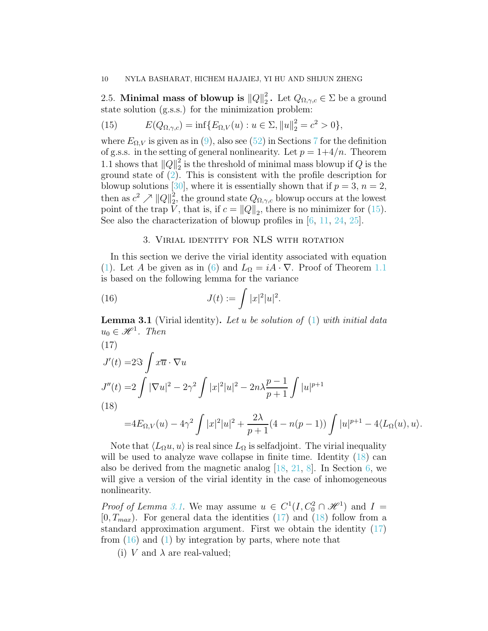2.5. Minimal mass of blowup is  $||Q||_2^2$ 2. Let  $Q_{\Omega,\gamma,c} \in \Sigma$  be a ground state solution (g.s.s.) for the minimization problem:

<span id="page-9-2"></span>(15) 
$$
E(Q_{\Omega,\gamma,c}) = \inf \{ E_{\Omega,V}(u) : u \in \Sigma, ||u||_2^2 = c^2 > 0 \},
$$

where  $E_{\Omega,V}$  is given as in [\(9\)](#page-7-1), also see [\(52\)](#page-23-1) in Sections [7](#page-22-0) for the definition of g.s.s. in the setting of general nonlinearity. Let  $p = 1+4/n$ . Theorem 1.1 shows that  $||Q||_2^2$  $2/2$  is the threshold of minimal mass blowup if Q is the ground state of [\(2\)](#page-2-1). This is consistent with the profile description for blowup solutions [\[30\]](#page-34-13), where it is essentially shown that if  $p = 3$ ,  $n = 2$ , then as  $c^2 \nearrow ||Q||_2^2$ <sup>2</sup>, the ground state  $Q_{\Omega,\gamma,c}$  blowup occurs at the lowest point of the trap V, that is, if  $c = ||Q||_2$ , there is no minimizer for [\(15\)](#page-9-2). See also the characterization of blowup profiles in [\[6,](#page-33-5) [11,](#page-33-10) [24,](#page-34-10) [25\]](#page-34-8).

## <span id="page-9-5"></span>3. Virial identity for NLS with rotation

<span id="page-9-0"></span>In this section we derive the virial identity associated with equation [\(1\)](#page-1-1). Let A be given as in [\(6\)](#page-6-3) and  $L_{\Omega} = iA \cdot \nabla$ . Proof of Theorem [1.1](#page-2-0) is based on the following lemma for the variance

(16) 
$$
J(t) := \int |x|^2 |u|^2.
$$

<span id="page-9-1"></span>**Lemma 3.1** (Virial identity). Let u be solution of  $(1)$  with initial data  $u_0 \in \mathcal{H}^1$ . Then

<span id="page-9-4"></span>(17)  
\n
$$
J'(t) = 2\Im \int x\overline{u} \cdot \nabla u
$$
\n
$$
J''(t) = 2 \int |\nabla u|^2 - 2\gamma^2 \int |x|^2 |u|^2 - 2n\lambda \frac{p-1}{p+1} \int |u|^{p+1}
$$
\n(18)  
\n
$$
= 4E_{\Omega,V}(u) - 4\gamma^2 \int |x|^2 |u|^2 + \frac{2\lambda}{p+1} (4 - n(p-1)) \int |u|^{p+1} - 4 \langle L_{\Omega}(u), u \rangle.
$$

<span id="page-9-3"></span>Note that  $\langle L_{\Omega}u, u \rangle$  is real since  $L_{\Omega}$  is selfadjoint. The virial inequality will be used to analyze wave collapse in finite time. Identity  $(18)$  can also be derived from the magnetic analog  $[18, 21, 8]$  $[18, 21, 8]$  $[18, 21, 8]$  $[18, 21, 8]$ . In Section [6,](#page-19-0) we will give a version of the virial identity in the case of inhomogeneous nonlinearity.

*Proof of Lemma [3.1.](#page-9-1)* We may assume  $u \in C^1(I, C_0^2 \cap \mathcal{H}^1)$  and  $I =$  $[0, T_{max})$ . For general data the identities  $(17)$  and  $(18)$  follow from a standard approximation argument. First we obtain the identity [\(17\)](#page-9-4) from  $(16)$  and  $(1)$  by integration by parts, where note that

(i) V and  $\lambda$  are real-valued;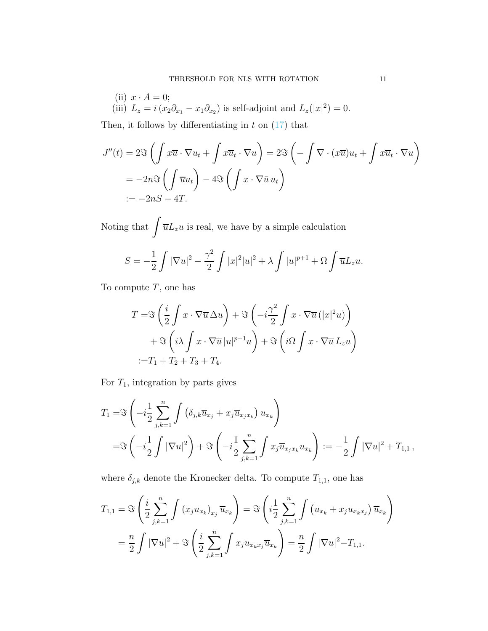(ii) 
$$
x \cdot A = 0
$$
;  
(iii)  $L_z = i (x_2 \partial_{x_1} - x_1 \partial_{x_2})$  is self-adjoint and  $L_z(|x|^2) = 0$ .

Then, it follows by differentiating in  $t$  on  $(17)$  that

$$
J''(t) = 2\Im\left(\int x\overline{u}\cdot\nabla u_t + \int x\overline{u}_t\cdot\nabla u\right) = 2\Im\left(-\int \nabla\cdot(x\overline{u})u_t + \int x\overline{u}_t\cdot\nabla u\right)
$$
  
=  $-2n\Im\left(\int \overline{u}u_t\right) - 4\Im\left(\int x\cdot\nabla\overline{u}u_t\right)$   
:=  $-2nS - 4T$ .

Noting that  $\int \overline{u} L_z u$  is real, we have by a simple calculation

$$
S = -\frac{1}{2} \int |\nabla u|^2 - \frac{\gamma^2}{2} \int |x|^2 |u|^2 + \lambda \int |u|^{p+1} + \Omega \int \overline{u} L_z u.
$$

To compute  $T$ , one has

$$
T = \Im\left(\frac{i}{2}\int x \cdot \nabla \overline{u} \,\Delta u\right) + \Im\left(-i\frac{\gamma^2}{2}\int x \cdot \nabla \overline{u}\,(|x|^2 u)\right) + \Im\left(i\lambda \int x \cdot \nabla \overline{u}\,|u|^{p-1} u\right) + \Im\left(i\Omega \int x \cdot \nabla \overline{u}\,L_z u\right) := T_1 + T_2 + T_3 + T_4.
$$

For  $T_1$ , integration by parts gives

$$
T_1 = \Im\left(-i\frac{1}{2}\sum_{j,k=1}^n \int (\delta_{j,k}\overline{u}_{x_j} + x_j \overline{u}_{x_jx_k}) u_{x_k}\right)
$$
  
=  $\Im\left(-i\frac{1}{2} \int |\nabla u|^2\right) + \Im\left(-i\frac{1}{2}\sum_{j,k=1}^n \int x_j \overline{u}_{x_jx_k} u_{x_k}\right) := -\frac{1}{2} \int |\nabla u|^2 + T_{1,1},$ 

where  $\delta_{j,k}$  denote the Kronecker delta. To compute  $T_{1,1},$  one has

$$
T_{1,1} = \Im\left(\frac{i}{2}\sum_{j,k=1}^{n} \int (x_j u_{x_k})_{x_j} \overline{u}_{x_k}\right) = \Im\left(i\frac{1}{2}\sum_{j,k=1}^{n} \int (u_{x_k} + x_j u_{x_k x_j}) \overline{u}_{x_k}\right)
$$
  
=  $\frac{n}{2} \int |\nabla u|^2 + \Im\left(\frac{i}{2}\sum_{j,k=1}^{n} \int x_j u_{x_k x_j} \overline{u}_{x_k}\right) = \frac{n}{2} \int |\nabla u|^2 - T_{1,1}.$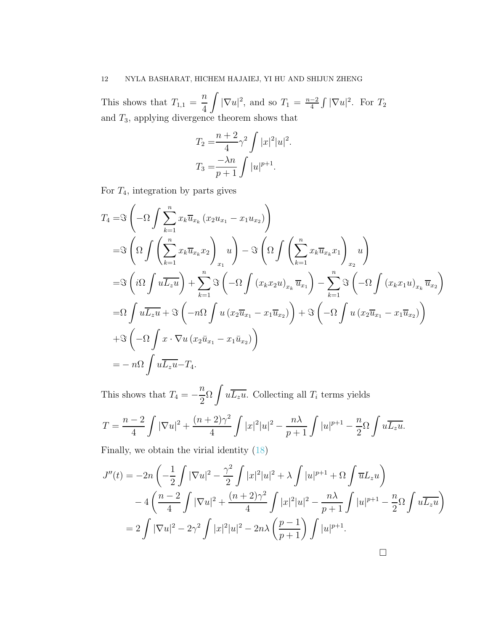This shows that  $T_{1,1} =$  $\overline{n}$ 4 Z  $|\nabla u|^2$ , and so  $T_1 = \frac{n-2}{4}$  $\frac{-2}{4} \int |\nabla u|^2$ . For  $T_2$ and  $T_3$ , applying divergence theorem shows that

$$
T_2 = \frac{n+2}{4} \gamma^2 \int |x|^2 |u|^2
$$
  

$$
T_3 = \frac{-\lambda n}{p+1} \int |u|^{p+1}.
$$

For  $T_4$ , integration by parts gives

$$
T_4 = \Im\left(-\Omega \int \sum_{k=1}^n x_k \overline{u}_{x_k} (x_2 u_{x_1} - x_1 u_{x_2})\right)
$$
  
\n
$$
= \Im\left(\Omega \int \left(\sum_{k=1}^n x_k \overline{u}_{x_k} x_2\right)_{x_1} u\right) - \Im\left(\Omega \int \left(\sum_{k=1}^n x_k \overline{u}_{x_k} x_1\right)_{x_2} u\right)
$$
  
\n
$$
= \Im\left(i\Omega \int u \overline{L_z u}\right) + \sum_{k=1}^n \Im\left(-\Omega \int (x_k x_2 u)_{x_k} \overline{u}_{x_1}\right) - \sum_{k=1}^n \Im\left(-\Omega \int (x_k x_1 u)_{x_k} \overline{u}_{x_2}\right)
$$
  
\n
$$
= \Omega \int u \overline{L_z u} + \Im\left(-n\Omega \int u (x_2 \overline{u}_{x_1} - x_1 \overline{u}_{x_2})\right) + \Im\left(-\Omega \int u (x_2 \overline{u}_{x_1} - x_1 \overline{u}_{x_2})\right)
$$
  
\n
$$
+ \Im\left(-\Omega \int x \cdot \nabla u (x_2 \overline{u}_{x_1} - x_1 \overline{u}_{x_2})\right)
$$
  
\n
$$
= -n\Omega \int u \overline{L_z u} - T_4.
$$

.

This shows that  $T_4 =$ n 2  $\Omega$ Z  $uL_zu$ . Collecting all  $T_i$  terms yields

$$
T = \frac{n-2}{4} \int |\nabla u|^2 + \frac{(n+2)\gamma^2}{4} \int |x|^2 |u|^2 - \frac{n\lambda}{p+1} \int |u|^{p+1} - \frac{n}{2} \Omega \int u \overline{L_z u}.
$$

Finally, we obtain the virial identity [\(18\)](#page-9-3)

$$
J''(t) = -2n \left( -\frac{1}{2} \int |\nabla u|^2 - \frac{\gamma^2}{2} \int |x|^2 |u|^2 + \lambda \int |u|^{p+1} + \Omega \int \overline{u} L_z u \right)
$$
  

$$
-4 \left( \frac{n-2}{4} \int |\nabla u|^2 + \frac{(n+2)\gamma^2}{4} \int |x|^2 |u|^2 - \frac{n\lambda}{p+1} \int |u|^{p+1} - \frac{n}{2} \Omega \int u \overline{L_z u} \right)
$$
  

$$
= 2 \int |\nabla u|^2 - 2\gamma^2 \int |x|^2 |u|^2 - 2n\lambda \left( \frac{p-1}{p+1} \right) \int |u|^{p+1}.
$$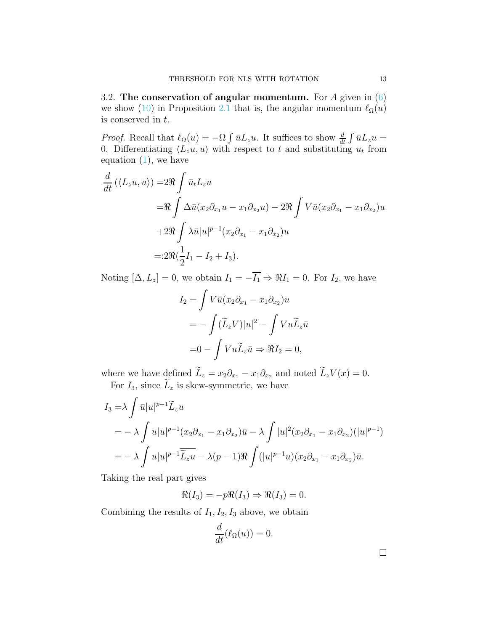3.2. The conservation of angular momentum. For  $A$  given in  $(6)$ we show [\(10\)](#page-7-2) in Proposition [2.1](#page-6-2) that is, the angular momentum  $\ell_{\Omega}(u)$ is conserved in t.

*Proof.* Recall that  $\ell_{\Omega}(u) = -\Omega \int \bar{u} L_z u$ . It suffices to show  $\frac{d}{dt} \int \bar{u} L_z u =$ 0. Differentiating  $\langle L_z u, u \rangle$  with respect to t and substituting  $u_t$  from equation  $(1)$ , we have

$$
\frac{d}{dt} (\langle L_z u, u \rangle) = 2\Re \int \bar{u}_t L_z u
$$
  
=  $\Re \int \Delta \bar{u} (x_2 \partial_{x_1} u - x_1 \partial_{x_2} u) - 2\Re \int V \bar{u} (x_2 \partial_{x_1} - x_1 \partial_{x_2}) u$   
+  $2\Re \int \lambda \bar{u} |u|^{p-1} (x_2 \partial_{x_1} - x_1 \partial_{x_2}) u$   
=:  $2\Re(\frac{1}{2}I_1 - I_2 + I_3).$ 

Noting  $[\Delta, L_z] = 0$ , we obtain  $I_1 = -\overline{I_1} \Rightarrow \Re I_1 = 0$ . For  $I_2$ , we have

$$
I_2 = \int V \bar{u} (x_2 \partial_{x_1} - x_1 \partial_{x_2}) u
$$
  
= 
$$
- \int (\widetilde{L}_z V) |u|^2 - \int V u \widetilde{L}_z \bar{u}
$$
  
= 
$$
0 - \int V u \widetilde{L}_z \bar{u} \Rightarrow \Re I_2 = 0,
$$

where we have defined  $\widetilde{L}_z = x_2 \partial_{x_1} - x_1 \partial_{x_2}$  and noted  $\widetilde{L}_z V(x) = 0$ .

For  $I_3$ , since  $\widetilde{L}_z$  is skew-symmetric, we have

$$
I_3 = \lambda \int \bar{u}|u|^{p-1}\tilde{L}_z u
$$
  
=  $-\lambda \int u|u|^{p-1}(x_2\partial_{x_1} - x_1\partial_{x_2})\bar{u} - \lambda \int |u|^2(x_2\partial_{x_1} - x_1\partial_{x_2})(|u|^{p-1})$   
=  $-\lambda \int u|u|^{p-1}\overline{\tilde{L}_z u} - \lambda(p-1)\Re \int (|u|^{p-1}u)(x_2\partial_{x_1} - x_1\partial_{x_2})\bar{u}.$ 

Taking the real part gives

$$
\Re(I_3) = -p\Re(I_3) \Rightarrow \Re(I_3) = 0.
$$

Combining the results of  $I_1, I_2, I_3$  above, we obtain

$$
\frac{d}{dt}(\ell_{\Omega}(u))=0.
$$

 $\Box$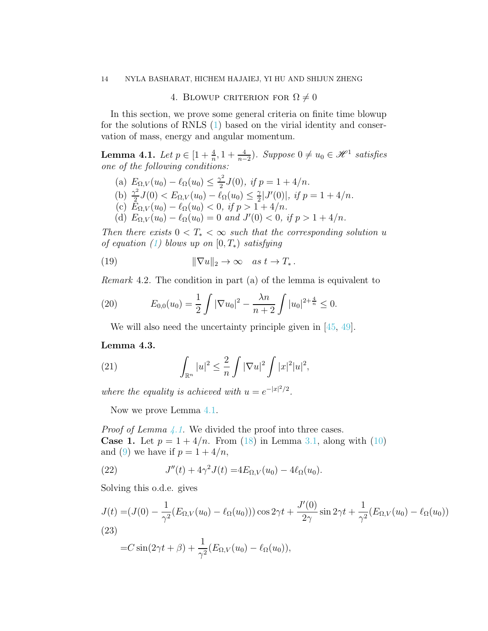### <span id="page-13-0"></span>14 NYLA BASHARAT, HICHEM HAJAIEJ, YI HU AND SHIJUN ZHENG

# 4. BLOWUP CRITERION FOR  $\Omega \neq 0$

In this section, we prove some general criteria on finite time blowup for the solutions of RNLS [\(1\)](#page-1-1) based on the virial identity and conservation of mass, energy and angular momentum.

<span id="page-13-1"></span>**Lemma 4.1.** Let  $p \in [1 + \frac{4}{n}, 1 + \frac{4}{n-2})$ . Suppose  $0 \neq u_0 \in \mathcal{H}^1$  satisfies one of the following conditions:

- (a)  $E_{\Omega,V}(u_0) \ell_{\Omega}(u_0) \leq \frac{\gamma^2}{2}$  $\frac{\gamma^2}{2}J(0), \text{ if } p=1+4/n.$ (b)  $\frac{\gamma^2}{2}$  $\frac{\gamma^2}{2}J(0) < E_{\Omega,V}(u_0) - \ell_{\Omega}(u_0) \leq \frac{\gamma}{2}$  $\frac{\gamma}{2}|J'(0)|, \text{ if } p=1+4/n.$
- (c)  $E_{\Omega,V}(u_0) \ell_{\Omega}(u_0) < 0$ , if  $p > 1 + 4/n$ .
- (d)  $E_{\Omega,V}(u_0) \ell_{\Omega}(u_0) = 0$  and  $J'(0) < 0$ , if  $p > 1 + 4/n$ .

Then there exists  $0 < T_* < \infty$  such that the corresponding solution u of equation [\(1\)](#page-1-1) blows up on  $[0, T_*)$  satisfying

<span id="page-13-4"></span>(19) 
$$
\|\nabla u\|_2 \to \infty \quad as \ t \to T_*.
$$

Remark 4.2. The condition in part (a) of the lemma is equivalent to

(20) 
$$
E_{0,0}(u_0) = \frac{1}{2} \int |\nabla u_0|^2 - \frac{\lambda n}{n+2} \int |u_0|^{2+\frac{4}{n}} \leq 0.
$$

We will also need the uncertainty principle given in [\[45,](#page-35-4) [49\]](#page-35-5).

## Lemma 4.3.

<span id="page-13-3"></span>(21) 
$$
\int_{\mathbb{R}^n} |u|^2 \leq \frac{2}{n} \int |\nabla u|^2 \int |x|^2 |u|^2,
$$

where the equality is achieved with  $u = e^{-|x|^2/2}$ .

Now we prove Lemma [4.1.](#page-13-1)

*Proof of Lemma [4.1.](#page-13-1)* We divided the proof into three cases. **Case 1.** Let  $p = 1 + 4/n$ . From [\(18\)](#page-9-3) in Lemma [3.1,](#page-9-1) along with [\(10\)](#page-7-2) and [\(9\)](#page-7-1) we have if  $p = 1 + 4/n$ ,

<span id="page-13-2"></span>(22) 
$$
J''(t) + 4\gamma^2 J(t) = 4E_{\Omega,V}(u_0) - 4\ell_{\Omega}(u_0).
$$

Solving this o.d.e. gives

$$
J(t) = (J(0) - \frac{1}{\gamma^2} (E_{\Omega,V}(u_0) - \ell_{\Omega}(u_0))) \cos 2\gamma t + \frac{J'(0)}{2\gamma} \sin 2\gamma t + \frac{1}{\gamma^2} (E_{\Omega,V}(u_0) - \ell_{\Omega}(u_0))
$$
\n(23)

<span id="page-13-5"></span>
$$
=C\sin(2\gamma t+\beta)+\frac{1}{\gamma^2}(E_{\Omega,V}(u_0)-\ell_{\Omega}(u_0)),
$$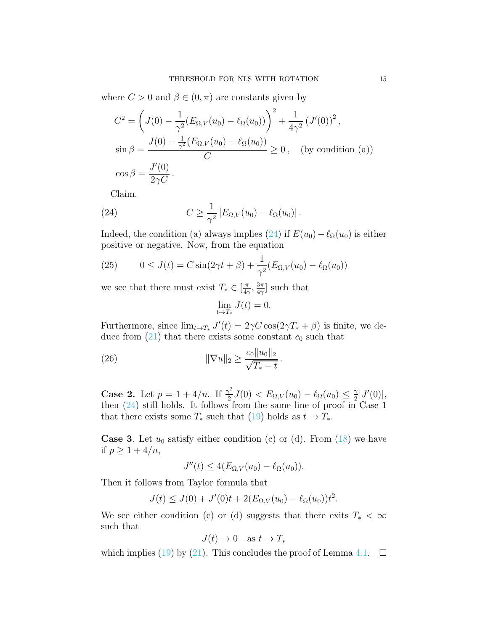where  $C > 0$  and  $\beta \in (0, \pi)$  are constants given by

$$
C^{2} = \left(J(0) - \frac{1}{\gamma^{2}}(E_{\Omega,V}(u_{0}) - \ell_{\Omega}(u_{0}))\right)^{2} + \frac{1}{4\gamma^{2}}(J'(0))^{2},
$$
  
\n
$$
\sin \beta = \frac{J(0) - \frac{1}{\gamma^{2}}(E_{\Omega,V}(u_{0}) - \ell_{\Omega}(u_{0}))}{C} \ge 0, \text{ (by condition (a))}
$$
  
\n
$$
\cos \beta = \frac{J'(0)}{2\gamma C}.
$$

Claim.

<span id="page-14-1"></span>(24) 
$$
C \geq \frac{1}{\gamma^2} |E_{\Omega,V}(u_0) - \ell_{\Omega}(u_0)|.
$$

Indeed, the condition (a) always implies [\(24\)](#page-14-1) if  $E(u_0) - \ell_{\Omega}(u_0)$  is either positive or negative. Now, from the equation

(25) 
$$
0 \leq J(t) = C \sin(2\gamma t + \beta) + \frac{1}{\gamma^2} (E_{\Omega,V}(u_0) - \ell_{\Omega}(u_0))
$$

we see that there must exist  $T_* \in \left[\frac{\pi}{4} \right]$  $\frac{\pi}{4\gamma}$ ,  $\frac{3\pi}{4\gamma}$  $\frac{3\pi}{4\gamma}$  such that

$$
\lim_{t \to T_*} J(t) = 0.
$$

Furthermore, since  $\lim_{t \to T_*} J'(t) = 2\gamma C \cos(2\gamma T_* + \beta)$  is finite, we deduce from  $(21)$  that there exists some constant  $c_0$  such that

<span id="page-14-0"></span>(26) 
$$
\|\nabla u\|_2 \ge \frac{c_0 \|u_0\|_2}{\sqrt{T_* - t}}.
$$

**Case 2.** Let  $p = 1 + 4/n$ . If  $\frac{\gamma^2}{2}$  $\frac{\gamma^2}{2}J(0) < E_{\Omega,V}(u_0) - \ell_\Omega(u_0) \leq \frac{\gamma^2}{2}$  $\frac{\gamma}{2}|J'(0)|,$ then [\(24\)](#page-14-1) still holds. It follows from the same line of proof in Case 1 that there exists some  $T_*$  such that [\(19\)](#page-13-4) holds as  $t \to T_*$ .

**Case 3.** Let  $u_0$  satisfy either condition (c) or (d). From  $(18)$  we have if  $p \geq 1 + 4/n$ ,

$$
J''(t) \le 4(E_{\Omega,V}(u_0) - \ell_{\Omega}(u_0)).
$$

Then it follows from Taylor formula that

$$
J(t) \leq J(0) + J'(0)t + 2(E_{\Omega,V}(u_0) - \ell_{\Omega}(u_0))t^2.
$$

We see either condition (c) or (d) suggests that there exits  $T_* < \infty$ such that

$$
J(t) \to 0 \quad \text{as } t \to T_*
$$

which implies [\(19\)](#page-13-4) by [\(21\)](#page-13-3). This concludes the proof of Lemma [4.1.](#page-13-1)  $\Box$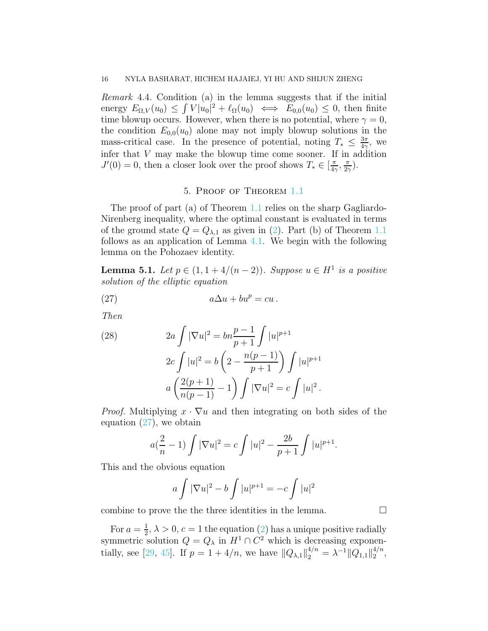<span id="page-15-3"></span>Remark 4.4. Condition (a) in the lemma suggests that if the initial energy  $E_{\Omega,V}(u_0) \leq \int V |u_0|^2 + \ell_{\Omega}(u_0) \iff E_{0,0}(u_0) \leq 0$ , then finite time blowup occurs. However, when there is no potential, where  $\gamma = 0$ , the condition  $E_{0,0}(u_0)$  alone may not imply blowup solutions in the mass-critical case. In the presence of potential, noting  $T_* \leq \frac{3\pi}{4\gamma}$  $rac{3\pi}{4\gamma}$ , we infer that V may make the blowup time come sooner. If in addition  $J'(0) = 0$ , then a closer look over the proof shows  $T_* \in \left[\frac{\pi}{4} \right]$  $\frac{\pi}{4\gamma}$ ,  $\frac{\pi}{2\gamma}$  $\frac{\pi}{2\gamma}$ ).

## 5. Proof of Theorem [1.1](#page-2-0)

<span id="page-15-0"></span>The proof of part (a) of Theorem [1.1](#page-2-0) relies on the sharp Gagliardo-Nirenberg inequality, where the optimal constant is evaluated in terms of the ground state  $Q = Q_{\lambda,1}$  as given in [\(2\)](#page-2-1). Part (b) of Theorem [1.1](#page-2-0) follows as an application of Lemma [4.1.](#page-13-1) We begin with the following lemma on the Pohozaev identity.

<span id="page-15-2"></span>**Lemma 5.1.** Let  $p \in (1, 1 + 4/(n-2))$ . Suppose  $u \in H^1$  is a positive solution of the elliptic equation

<span id="page-15-1"></span>(27) 
$$
a\Delta u + bu^p = cu.
$$

Then

<span id="page-15-4"></span>(28) 
$$
2a \int |\nabla u|^2 = bn \frac{p-1}{p+1} \int |u|^{p+1}
$$

$$
2c \int |u|^2 = b \left(2 - \frac{n(p-1)}{p+1}\right) \int |u|^{p+1}
$$

$$
a \left(\frac{2(p+1)}{n(p-1)} - 1\right) \int |\nabla u|^2 = c \int |u|^2.
$$

*Proof.* Multiplying  $x \cdot \nabla u$  and then integrating on both sides of the equation  $(27)$ , we obtain

$$
a(\frac{2}{n}-1)\int |\nabla u|^2 = c \int |u|^2 - \frac{2b}{p+1} \int |u|^{p+1}.
$$

This and the obvious equation

$$
a\int |\nabla u|^2 - b\int |u|^{p+1} = -c\int |u|^2
$$

combine to prove the the three identities in the lemma.

For  $a=\frac{1}{2}$  $\frac{1}{2}$ ,  $\lambda > 0$ ,  $c = 1$  the equation [\(2\)](#page-2-1) has a unique positive radially symmetric solution  $Q = Q_{\lambda}$  in  $H^1 \cap C^2$  which is decreasing exponen-tially, see [\[29,](#page-34-7) [45\]](#page-35-4). If  $p = 1 + 4/n$ , we have  $||Q_{\lambda,1}||_2^{4/n} = \lambda^{-1} ||Q_{1,1}||_2^{4/n}$  $\frac{4}{n}$ ,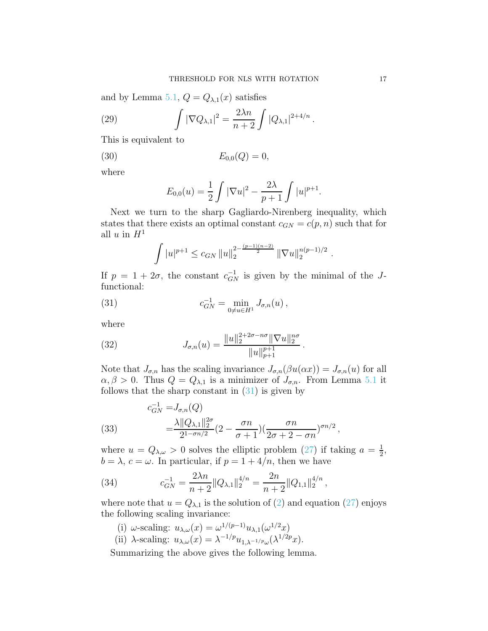and by Lemma [5.1,](#page-15-2)  $Q = Q_{\lambda,1}(x)$  satisfies

(29) 
$$
\int |\nabla Q_{\lambda,1}|^2 = \frac{2\lambda n}{n+2} \int |Q_{\lambda,1}|^{2+4/n}.
$$

This is equivalent to

<span id="page-16-4"></span>(30) 
$$
E_{0,0}(Q) = 0,
$$

where

<span id="page-16-0"></span>
$$
E_{0,0}(u) = \frac{1}{2} \int |\nabla u|^2 - \frac{2\lambda}{p+1} \int |u|^{p+1}.
$$

Next we turn to the sharp Gagliardo-Nirenberg inequality, which states that there exists an optimal constant  $c_{GN} = c(p, n)$  such that for all u in  $H^1$ 

$$
\int |u|^{p+1} \leq c_{GN} \|u\|_2^{2-\frac{(p-1)(n-2)}{2}} \|\nabla u\|_2^{n(p-1)/2} .
$$

If  $p = 1 + 2\sigma$ , the constant  $c_{GN}^{-1}$  is given by the minimal of the Jfunctional:

<span id="page-16-1"></span>(31) 
$$
c_{GN}^{-1} = \min_{0 \neq u \in H^1} J_{\sigma,n}(u) ,
$$

where

(32) 
$$
J_{\sigma,n}(u) = \frac{\|u\|_2^{2+2\sigma-n\sigma} \|\nabla u\|_2^{n\sigma}}{\|u\|_{p+1}^{p+1}}.
$$

Note that  $J_{\sigma,n}$  has the scaling invariance  $J_{\sigma,n}(\beta u(\alpha x)) = J_{\sigma,n}(u)$  for all  $\alpha, \beta > 0$ . Thus  $Q = Q_{\lambda,1}$  is a minimizer of  $J_{\sigma,n}$ . From Lemma [5.1](#page-15-2) it follows that the sharp constant in  $(31)$  is given by

<span id="page-16-2"></span>(33) 
$$
c_{GN}^{-1} = J_{\sigma,n}(Q)
$$

$$
= \frac{\lambda ||Q_{\lambda,1}||_2^{2\sigma}}{2^{1-\sigma n/2}} (2 - \frac{\sigma n}{\sigma+1}) \left(\frac{\sigma n}{2\sigma+2-\sigma n}\right)^{\sigma n/2},
$$

where  $u = Q_{\lambda,\omega} > 0$  solves the elliptic problem [\(27\)](#page-15-1) if taking  $a = \frac{1}{2}$  $\frac{1}{2}$ ,  $b = \lambda$ ,  $c = \omega$ . In particular, if  $p = 1 + 4/n$ , then we have

<span id="page-16-3"></span>(34) 
$$
c_{GN}^{-1} = \frac{2\lambda n}{n+2} ||Q_{\lambda,1}||_2^{4/n} = \frac{2n}{n+2} ||Q_{1,1}||_2^{4/n},
$$

where note that  $u = Q_{\lambda,1}$  is the solution of [\(2\)](#page-2-1) and equation [\(27\)](#page-15-1) enjoys the following scaling invariance:

- (i)  $\omega$ -scaling:  $u_{\lambda,\omega}(x) = \omega^{1/(p-1)} u_{\lambda,1}(\omega^{1/2}x)$
- (ii)  $\lambda$ -scaling:  $u_{\lambda,\omega}(x) = \lambda^{-1/p} u_{1,\lambda^{-1/p}\omega}(\lambda^{1/2p}x)$ .

Summarizing the above gives the following lemma.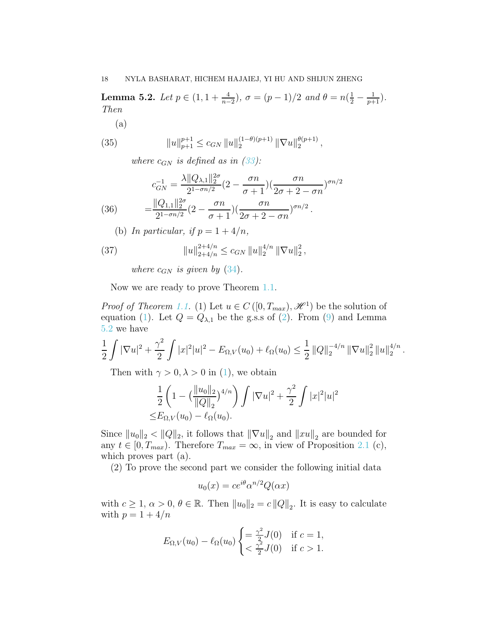<span id="page-17-0"></span>Lemma 5.2. Let  $p \in (1, 1 + \frac{4}{n-2}), \sigma = (p-1)/2$  and  $\theta = n(\frac{1}{2} - \frac{1}{p+1}).$ Then

(a)

<span id="page-17-2"></span>(35) 
$$
||u||_{p+1}^{p+1} \leq c_{GN} ||u||_2^{(1-\theta)(p+1)} ||\nabla u||_2^{\theta(p+1)},
$$

where  $c_{GN}$  is defined as in [\(33\)](#page-16-2):

(36) 
$$
c_{GN}^{-1} = \frac{\lambda ||Q_{\lambda,1}||_2^{2\sigma}}{2^{1-\sigma n/2}} (2 - \frac{\sigma n}{\sigma+1}) \left(\frac{\sigma n}{2\sigma+2-\sigma n}\right)^{\sigma n/2}
$$

$$
= \frac{||Q_{1,1}||_2^{2\sigma}}{2^{1-\sigma n/2}} (2 - \frac{\sigma n}{\sigma+1}) \left(\frac{\sigma n}{2\sigma+2-\sigma n}\right)^{\sigma n/2}.
$$

(b) In particular, if  $p = 1 + 4/n$ ,

<span id="page-17-1"></span>(37) 
$$
||u||_{2+4/n}^{2+4/n} \leq c_{GN} ||u||_2^{4/n} ||\nabla u||_2^2,
$$

where  $c_{GN}$  is given by [\(34\)](#page-16-3).

Now we are ready to prove Theorem [1.1.](#page-2-0)

*Proof of Theorem [1.1.](#page-2-0)* (1) Let  $u \in C([0, T_{max}), \mathcal{H}^1)$  be the solution of equation [\(1\)](#page-1-1). Let  $Q = Q_{\lambda,1}$  be the g.s.s of [\(2\)](#page-2-1). From [\(9\)](#page-7-1) and Lemma [5.2](#page-17-0) we have

$$
\frac{1}{2}\int |\nabla u|^2 + \frac{\gamma^2}{2}\int |x|^2|u|^2 - E_{\Omega,V}(u_0) + \ell_{\Omega}(u_0) \le \frac{1}{2} ||Q||_2^{-4/n} ||\nabla u||_2^2 ||u||_2^{4/n}.
$$

Then with  $\gamma > 0, \lambda > 0$  in [\(1\)](#page-1-1), we obtain

$$
\frac{1}{2} \left( 1 - \left( \frac{\|u_0\|_2}{\|Q\|_2} \right)^{4/n} \right) \int |\nabla u|^2 + \frac{\gamma^2}{2} \int |x|^2 |u|^2
$$
  

$$
\leq E_{\Omega, V}(u_0) - \ell_{\Omega}(u_0).
$$

Since  $||u_0||_2 < ||Q||_2$ , it follows that  $||\nabla u||_2$  and  $||xu||_2$  are bounded for any  $t \in [0, T_{max})$ . Therefore  $T_{max} = \infty$ , in view of Proposition [2.1](#page-6-2) (c), which proves part (a).

(2) To prove the second part we consider the following initial data

$$
u_0(x) = ce^{i\theta} \alpha^{n/2} Q(\alpha x)
$$

with  $c \ge 1$ ,  $\alpha > 0$ ,  $\theta \in \mathbb{R}$ . Then  $||u_0||_2 = c ||Q||_2$ . It is easy to calculate with  $p = 1 + 4/n$ 

$$
E_{\Omega,V}(u_0) - \ell_{\Omega}(u_0) \begin{cases} = \frac{\gamma^2}{2} J(0) & \text{if } c = 1, \\ < \frac{\gamma^2}{2} J(0) & \text{if } c > 1. \end{cases}
$$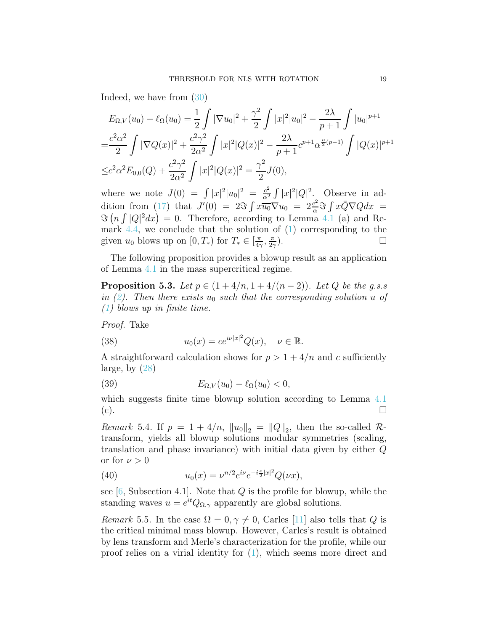Indeed, we have from [\(30\)](#page-16-4)

$$
E_{\Omega,V}(u_0) - \ell_{\Omega}(u_0) = \frac{1}{2} \int |\nabla u_0|^2 + \frac{\gamma^2}{2} \int |x|^2 |u_0|^2 - \frac{2\lambda}{p+1} \int |u_0|^{p+1}
$$
  
=  $\frac{c^2 \alpha^2}{2} \int |\nabla Q(x)|^2 + \frac{c^2 \gamma^2}{2\alpha^2} \int |x|^2 |Q(x)|^2 - \frac{2\lambda}{p+1} c^{p+1} \alpha^{\frac{n}{2}(p-1)} \int |Q(x)|^{p+1}$   
 $\leq c^2 \alpha^2 E_{0,0}(Q) + \frac{c^2 \gamma^2}{2\alpha^2} \int |x|^2 |Q(x)|^2 = \frac{\gamma^2}{2} J(0),$ 

where we note  $J(0) = \int |x|^2 |u_0|^2 = \frac{c^2}{\alpha^2}$  $rac{c^2}{\alpha^2} \int |x|^2 |Q|^2$ . Observe in ad-dition from [\(17\)](#page-9-4) that  $J'(0) = 2\Im \int x \overline{u_0} \nabla u_0 = 2 \frac{c^2}{\alpha} \Im \int x \overline{Q} \nabla Q dx =$  $\Im(n \int |Q|^2 dx) = 0$ . Therefore, according to Lemma [4.1](#page-13-1) (a) and Remark  $4.4$ , we conclude that the solution of  $(1)$  corresponding to the given  $u_0$  blows up on  $[0, T_*)$  for  $T_* \in [\frac{\pi}{4}$  $\frac{\pi}{4\gamma}$ ,  $\frac{\pi}{2\gamma}$  $2\gamma$ ).  $\qquad \qquad \Box$ 

The following proposition provides a blowup result as an application of Lemma [4.1](#page-13-1) in the mass supercritical regime.

<span id="page-18-0"></span>**Proposition 5.3.** Let  $p \in (1+4/n, 1+4/(n-2))$ . Let Q be the g.s.s in [\(2\)](#page-2-1). Then there exists  $u_0$  such that the corresponding solution u of [\(1\)](#page-1-1) blows up in finite time.

Proof. Take

(38) 
$$
u_0(x) = ce^{i\nu|x|^2}Q(x), \quad \nu \in \mathbb{R}.
$$

A straightforward calculation shows for  $p > 1 + 4/n$  and c sufficiently large, by [\(28\)](#page-15-4)

(39) 
$$
E_{\Omega,V}(u_0)-\ell_{\Omega}(u_0)<0,
$$

which suggests finite time blowup solution according to Lemma [4.1](#page-13-1)  $(c).$ 

Remark 5.4. If  $p = 1 + 4/n$ ,  $||u_0||_2 = ||Q||_2$ , then the so-called Rtransform, yields all blowup solutions modular symmetries (scaling, translation and phase invariance) with initial data given by either Q or for  $\nu > 0$ 

(40) 
$$
u_0(x) = \nu^{n/2} e^{i\nu} e^{-i\frac{\nu}{2}|x|^2} Q(\nu x),
$$

see  $[6,$  Subsection 4.1]. Note that  $Q$  is the profile for blowup, while the standing waves  $u = e^{it} Q_{\Omega, \gamma}$  apparently are global solutions.

*Remark* 5.5. In the case  $\Omega = 0, \gamma \neq 0$ , Carles [\[11\]](#page-33-10) also tells that Q is the critical minimal mass blowup. However, Carles's result is obtained by lens transform and Merle's characterization for the profile, while our proof relies on a virial identity for [\(1\)](#page-1-1), which seems more direct and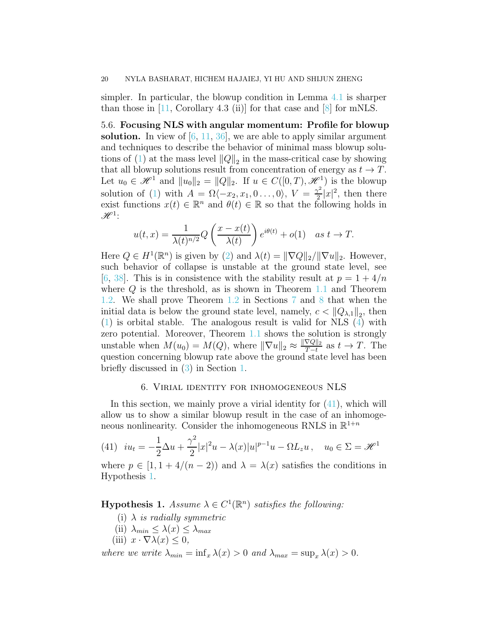simpler. In particular, the blowup condition in Lemma [4.1](#page-13-1) is sharper than those in  $[11,$  Corollary 4.3 (ii)] for that case and  $[8]$  for mNLS.

5.6. Focusing NLS with angular momentum: Profile for blowup solution. In view of  $[6, 11, 36]$  $[6, 11, 36]$  $[6, 11, 36]$  $[6, 11, 36]$ , we are able to apply similar argument and techniques to describe the behavior of minimal mass blowup solu-tions of [\(1\)](#page-1-1) at the mass level  $||Q||_2$  in the mass-critical case by showing that all blowup solutions result from concentration of energy as  $t \to T$ . Let  $u_0 \in \mathscr{H}^1$  and  $||u_0||_2 = ||Q||_2$ . If  $u \in C([0,T), \mathscr{H}^1)$  is the blowup solution of [\(1\)](#page-1-1) with  $A = \Omega \langle -x_2, x_1, 0, \ldots, 0 \rangle$ ,  $V = \frac{\gamma^2}{2}$  $\frac{\gamma^2}{2}|x|^2$ , then there exist functions  $x(t) \in \mathbb{R}^n$  and  $\theta(t) \in \mathbb{R}$  so that the following holds in  $\mathscr{H}^1$ :

$$
u(t,x) = \frac{1}{\lambda(t)^{n/2}} Q\left(\frac{x - x(t)}{\lambda(t)}\right) e^{i\theta(t)} + o(1) \quad \text{as } t \to T.
$$

Here  $Q \in H^1(\mathbb{R}^n)$  is given by [\(2\)](#page-2-1) and  $\lambda(t) = ||\nabla Q||_2 / ||\nabla u||_2$ . However, such behavior of collapse is unstable at the ground state level, see [\[6,](#page-33-5) [38\]](#page-35-8). This is in consistence with the stability result at  $p = 1 + 4/n$ where  $Q$  is the threshold, as is shown in Theorem [1.1](#page-2-0) and Theorem [1.2.](#page-5-0) We shall prove Theorem [1.2](#page-5-0) in Sections [7](#page-22-0) and [8](#page-28-0) that when the initial data is below the ground state level, namely,  $c < ||Q_{\lambda,1}||_2$ , then [\(1\)](#page-1-1) is orbital stable. The analogous result is valid for NLS [\(4\)](#page-5-1) with zero potential. Moreover, Theorem [1.1](#page-2-0) shows the solution is strongly unstable when  $M(u_0) = M(Q)$ , where  $\|\nabla u\|_2 \approx \frac{\|\nabla Q\|_2}{T-t}$  $\frac{\sqrt{Q||2}}{T-t}$  as  $t \to T$ . The question concerning blowup rate above the ground state level has been briefly discussed in [\(3\)](#page-4-0) in Section [1.](#page-1-0)

## 6. Virial identity for inhomogeneous NLS

<span id="page-19-0"></span>In this section, we mainly prove a virial identity for  $(41)$ , which will allow us to show a similar blowup result in the case of an inhomogeneous nonlinearity. Consider the inhomogeneous RNLS in  $\mathbb{R}^{1+n}$ 

<span id="page-19-1"></span>(41) 
$$
iu_t = -\frac{1}{2}\Delta u + \frac{\gamma^2}{2}|x|^2u - \lambda(x)|u|^{p-1}u - \Omega L_z u
$$
,  $u_0 \in \Sigma = \mathcal{H}^1$ 

where  $p \in [1, 1 + 4/(n-2))$  and  $\lambda = \lambda(x)$  satisfies the conditions in Hypothesis [1.](#page-19-2)

<span id="page-19-2"></span>**Hypothesis 1.** Assume  $\lambda \in C^1(\mathbb{R}^n)$  satisfies the following:

- (i)  $\lambda$  is radially symmetric
- (ii)  $\lambda_{min} \leq \lambda(x) \leq \lambda_{max}$
- (iii)  $x \cdot \nabla \lambda(x) \leq 0$ ,

where we write  $\lambda_{min} = \inf_x \lambda(x) > 0$  and  $\lambda_{max} = \sup_x \lambda(x) > 0$ .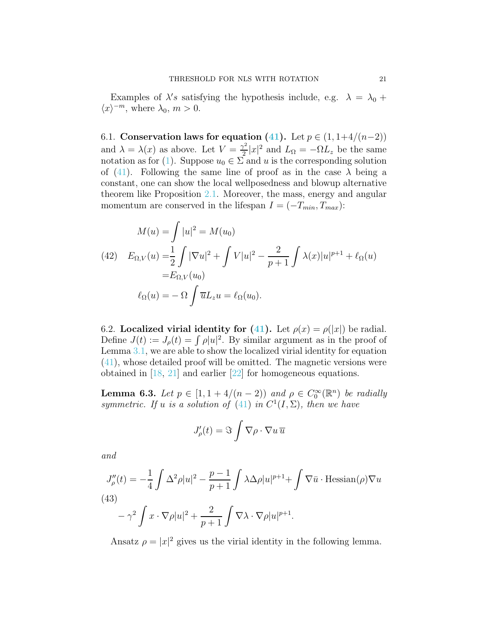Examples of  $\lambda's$  satisfying the hypothesis include, e.g.  $\lambda = \lambda_0 + \lambda^2 s$  $\langle x \rangle^{-m}$ , where  $\lambda_0, m > 0$ .

6.1. Conservation laws for equation [\(41\)](#page-19-1). Let  $p \in (1, 1+4/(n-2))$ and  $\lambda = \lambda(x)$  as above. Let  $V = \frac{\gamma^2}{2}$  $\frac{\gamma^2}{2}|x|^2$  and  $L_{\Omega} = -\Omega L_z$  be the same notation as for [\(1\)](#page-1-1). Suppose  $u_0 \in \Sigma$  and u is the corresponding solution of [\(41\)](#page-19-1). Following the same line of proof as in the case  $\lambda$  being a constant, one can show the local wellposedness and blowup alternative theorem like Proposition [2.1.](#page-6-2) Moreover, the mass, energy and angular momentum are conserved in the lifespan  $I = (-T_{min}, T_{max})$ :

$$
M(u) = \int |u|^2 = M(u_0)
$$
  
(42) 
$$
E_{\Omega,V}(u) = \frac{1}{2} \int |\nabla u|^2 + \int V|u|^2 - \frac{2}{p+1} \int \lambda(x)|u|^{p+1} + \ell_{\Omega}(u)
$$

$$
= E_{\Omega,V}(u_0)
$$

$$
\ell_{\Omega}(u) = -\Omega \int \overline{u} L_z u = \ell_{\Omega}(u_0).
$$

6.2. Localized virial identity for [\(41\)](#page-19-1). Let  $\rho(x) = \rho(|x|)$  be radial. Define  $J(t) := J_\rho(t) = \int \rho |u|^2$ . By similar argument as in the proof of Lemma [3.1,](#page-9-1) we are able to show the localized virial identity for equation [\(41\)](#page-19-1), whose detailed proof will be omitted. The magnetic versions were obtained in [\[18,](#page-34-14) [21\]](#page-34-0) and earlier [\[22\]](#page-34-15) for homogeneous equations.

**Lemma 6.3.** Let  $p \in [1, 1 + 4/(n-2))$  and  $\rho \in C_0^{\infty}(\mathbb{R}^n)$  be radially symmetric. If u is a solution of [\(41\)](#page-19-1) in  $C^1(I,\Sigma)$ , then we have

$$
J'_{\rho}(t) = \Im \int \nabla \rho \cdot \nabla u \, \overline{u}
$$

and

$$
J_{\rho}''(t) = -\frac{1}{4} \int \Delta^2 \rho |u|^2 - \frac{p-1}{p+1} \int \lambda \Delta \rho |u|^{p+1} + \int \nabla \bar{u} \cdot \text{Hessian}(\rho) \nabla u
$$
  
(43)  

$$
- \gamma^2 \int x \cdot \nabla \rho |u|^2 + \frac{2}{p+1} \int \nabla \lambda \cdot \nabla \rho |u|^{p+1}.
$$

Ansatz  $\rho = |x|^2$  gives us the virial identity in the following lemma.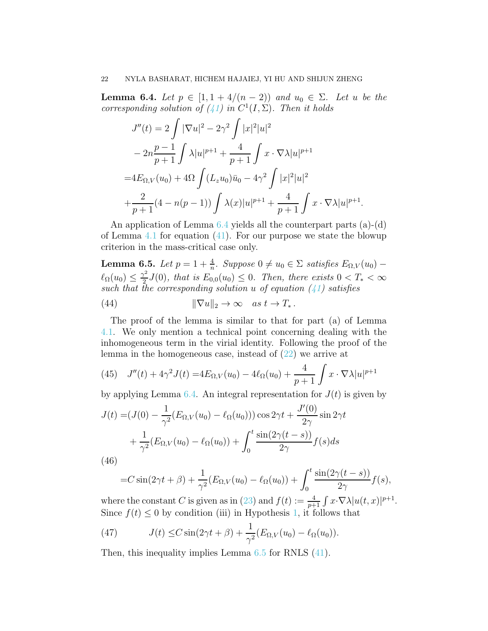<span id="page-21-0"></span>**Lemma 6.4.** Let  $p \in [1, 1 + 4/(n-2))$  and  $u_0 \in \Sigma$ . Let u be the corresponding solution of  $(41)$  in  $C^1(I,\Sigma)$ . Then it holds

$$
J''(t) = 2 \int |\nabla u|^2 - 2\gamma^2 \int |x|^2 |u|^2
$$
  

$$
- 2n \frac{p-1}{p+1} \int \lambda |u|^{p+1} + \frac{4}{p+1} \int x \cdot \nabla \lambda |u|^{p+1}
$$
  

$$
= 4E_{\Omega,V}(u_0) + 4\Omega \int (L_z u_0)\bar{u}_0 - 4\gamma^2 \int |x|^2 |u|^2
$$
  

$$
+ \frac{2}{p+1} (4 - n(p-1)) \int \lambda(x) |u|^{p+1} + \frac{4}{p+1} \int x \cdot \nabla \lambda |u|^{p+1}.
$$

An application of Lemma  $6.4$  yields all the counterpart parts  $(a)-(d)$ of Lemma [4.1](#page-13-1) for equation [\(41\)](#page-19-1). For our purpose we state the blowup criterion in the mass-critical case only.

<span id="page-21-1"></span>**Lemma 6.5.** Let  $p = 1 + \frac{4}{n}$ . Suppose  $0 \neq u_0 \in \Sigma$  satisfies  $E_{\Omega,V}(u_0)$  –  $\ell_{\Omega}(u_0) \leq \frac{\gamma^2}{2}$  $\frac{\gamma^2}{2}J(0)$ , that is  $E_{0,0}(u_0) \leq 0$ . Then, there exists  $0 < T_* < \infty$ such that the corresponding solution u of equation  $(41)$  satisfies (44)  $\|\nabla u\|_2 \to \infty \text{ as } t \to T_*$ .

The proof of the lemma is similar to that for part (a) of Lemma [4.1.](#page-13-1) We only mention a technical point concerning dealing with the inhomogeneous term in the virial identity. Following the proof of the lemma in the homogeneous case, instead of [\(22\)](#page-13-2) we arrive at

<span id="page-21-2"></span>(45) 
$$
J''(t) + 4\gamma^2 J(t) = 4E_{\Omega,V}(u_0) - 4\ell_{\Omega}(u_0) + \frac{4}{p+1} \int x \cdot \nabla \lambda |u|^{p+1}
$$

by applying Lemma  $6.4$ . An integral representation for  $J(t)$  is given by

$$
J(t) = (J(0) - \frac{1}{\gamma^2} (E_{\Omega,V}(u_0) - \ell_{\Omega}(u_0))) \cos 2\gamma t + \frac{J'(0)}{2\gamma} \sin 2\gamma t + \frac{1}{\gamma^2} (E_{\Omega,V}(u_0) - \ell_{\Omega}(u_0)) + \int_0^t \frac{\sin(2\gamma(t-s))}{2\gamma} f(s) ds
$$
\n(46)

<span id="page-21-4"></span>
$$
=C\sin(2\gamma t + \beta) + \frac{1}{\gamma^2}(E_{\Omega,V}(u_0) - \ell_{\Omega}(u_0)) + \int_0^t \frac{\sin(2\gamma (t-s))}{2\gamma} f(s),
$$

where the constant C is given as in [\(23\)](#page-13-5) and  $f(t) := \frac{4}{p+1} \int x \cdot \nabla \lambda |u(t,x)|^{p+1}$ . Since  $f(t) \leq 0$  by condition (iii) in Hypothesis [1,](#page-19-2) it follows that

<span id="page-21-3"></span>(47) 
$$
J(t) \leq C \sin(2\gamma t + \beta) + \frac{1}{\gamma^2} (E_{\Omega,V}(u_0) - \ell_{\Omega}(u_0)).
$$

Then, this inequality implies Lemma [6.5](#page-21-1) for RNLS [\(41\)](#page-19-1).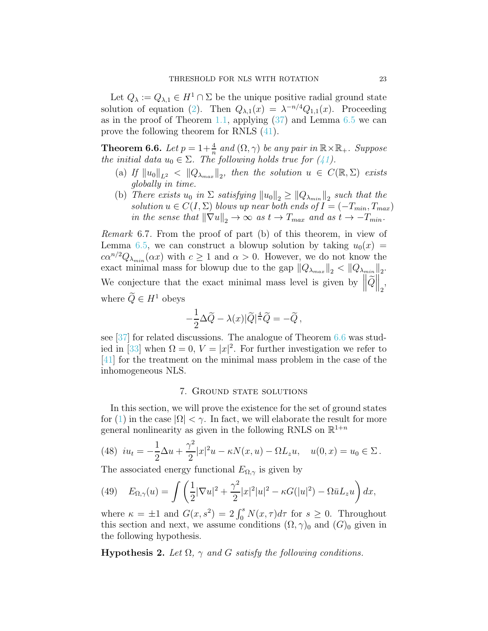Let  $Q_{\lambda} := Q_{\lambda,1} \in H^1 \cap \Sigma$  be the unique positive radial ground state solution of equation [\(2\)](#page-2-1). Then  $Q_{\lambda,1}(x) = \lambda^{-n/4} Q_{1,1}(x)$ . Proceeding as in the proof of Theorem [1.1,](#page-2-0) applying  $(37)$  and Lemma [6.5](#page-21-1) we can prove the following theorem for RNLS [\(41\)](#page-19-1).

<span id="page-22-1"></span>**Theorem 6.6.** Let  $p = 1 + \frac{4}{n}$  and  $(\Omega, \gamma)$  be any pair in  $\mathbb{R} \times \mathbb{R}_+$ . Suppose the initial data  $u_0 \in \Sigma$ . The following holds true for [\(41\)](#page-19-1).

- (a) If  $||u_0||_{L^2}$  <  $||Q_{\lambda_{max}}||_2$ , then the solution  $u \in C(\mathbb{R}, \Sigma)$  exists globally in time.
- (b) There exists  $u_0$  in  $\Sigma$  satisfying  $||u_0||_2 \ge ||Q_{\lambda_{min}}||_2$  such that the solution  $u \in C(I, \Sigma)$  blows up near both ends of  $I = (-T_{min}, T_{max})$ in the sense that  $\|\nabla u\|_2 \to \infty$  as  $t \to T_{max}$  and as  $t \to -T_{min}$ .

<span id="page-22-2"></span>Remark 6.7. From the proof of part (b) of this theorem, in view of Lemma [6.5,](#page-21-1) we can construct a blowup solution by taking  $u_0(x)$  =  $c\alpha^{n/2}Q_{\lambda_{min}}(\alpha x)$  with  $c\geq 1$  and  $\alpha>0$ . However, we do not know the exact minimal mass for blowup due to the gap  $||Q_{\lambda_{max}}||_2 < ||Q_{\lambda_{min}}||_2$ . We conjecture that the exact minimal mass level is given by  $\left\|\tilde{Q}\right\|_2$ , where  $\widetilde{Q} \in H^1$  obeys

$$
-\frac{1}{2}\Delta \widetilde{Q} - \lambda(x)|\widetilde{Q}|^{\frac{4}{n}}\widetilde{Q} = -\widetilde{Q},
$$

see [\[37\]](#page-35-6) for related discussions. The analogue of Theorem [6.6](#page-22-1) was stud-ied in [\[33\]](#page-34-16) when  $\Omega = 0, V = |x|^2$ . For further investigation we refer to [\[41\]](#page-35-11) for the treatment on the minimal mass problem in the case of the inhomogeneous NLS.

## 7. GROUND STATE SOLUTIONS

<span id="page-22-0"></span>In this section, we will prove the existence for the set of ground states for [\(1\)](#page-1-1) in the case  $|\Omega| < \gamma$ . In fact, we will elaborate the result for more general nonlinearity as given in the following RNLS on  $\mathbb{R}^{1+n}$ 

<span id="page-22-3"></span>(48) 
$$
iu_t = -\frac{1}{2}\Delta u + \frac{\gamma^2}{2}|x|^2u - \kappa N(x, u) - \Omega L_z u, \quad u(0, x) = u_0 \in \Sigma.
$$

The associated energy functional  $E_{\Omega,\gamma}$  is given by

<span id="page-22-5"></span>(49) 
$$
E_{\Omega,\gamma}(u) = \int \left(\frac{1}{2}|\nabla u|^2 + \frac{\gamma^2}{2}|x|^2|u|^2 - \kappa G(|u|^2) - \Omega \bar{u}L_z u\right)dx,
$$

where  $\kappa = \pm 1$  and  $G(x, s^2) = 2 \int_0^s N(x, \tau) d\tau$  for  $s \geq 0$ . Throughout this section and next, we assume conditions  $(\Omega, \gamma)_0$  and  $(G)_0$  given in the following hypothesis.

<span id="page-22-4"></span>**Hypothesis 2.** Let  $\Omega$ ,  $\gamma$  and G satisfy the following conditions.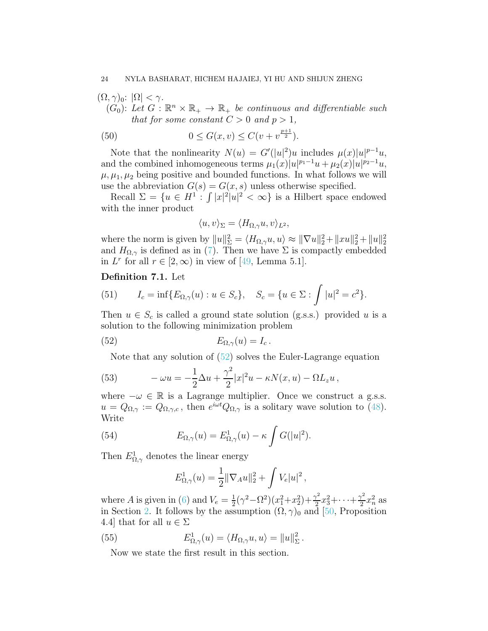$$
(\Omega, \gamma)_0: |\Omega| < \gamma.
$$
  
(*G*<sub>0</sub>): Let *G* :  $\mathbb{R}^n \times \mathbb{R}_+ \to \mathbb{R}_+$  be continuous and differentiable such that for some constant *C* > 0 and *p* > 1,

<span id="page-23-2"></span>(50) 
$$
0 \le G(x, v) \le C(v + v^{\frac{p+1}{2}}).
$$

Note that the nonlinearity  $N(u) = G'(|u|^2)u$  includes  $\mu(x)|u|^{p-1}u$ , and the combined inhomogeneous terms  $\mu_1(x)|u|^{p_1-1}u + \mu_2(x)|u|^{p_2-1}u$ ,  $\mu$ ,  $\mu_1$ ,  $\mu_2$  being positive and bounded functions. In what follows we will use the abbreviation  $G(s) = G(x, s)$  unless otherwise specified.

Recall  $\Sigma = \{u \in H^1 : \int |x|^2 |u|^2 < \infty\}$  is a Hilbert space endowed with the inner product

$$
\langle u, v \rangle_{\Sigma} = \langle H_{\Omega, \gamma} u, v \rangle_{L^2},
$$

where the norm is given by  $||u||_{\Sigma}^2 = \langle H_{\Omega,\gamma}u, u \rangle \approx ||\nabla u||_2^2 + ||xu||_2^2 + ||u||_2^2$ and  $H_{\Omega,\gamma}$  is defined as in [\(7\)](#page-6-4). Then we have  $\Sigma$  is compactly embedded in  $L^r$  for all  $r \in [2, \infty)$  in view of [\[49,](#page-35-5) Lemma 5.1].

## <span id="page-23-0"></span>Definition 7.1. Let

<span id="page-23-5"></span>(51) 
$$
I_c = \inf \{ E_{\Omega, \gamma}(u) : u \in S_c \}, \quad S_c = \{ u \in \Sigma : \int |u|^2 = c^2 \}.
$$

Then  $u \in S_c$  is called a ground state solution (g.s.s.) provided u is a solution to the following minimization problem

<span id="page-23-1"></span>(52) 
$$
E_{\Omega,\gamma}(u) = I_c.
$$

Note that any solution of  $(52)$  solves the Euler-Lagrange equation

(53) 
$$
-\omega u = -\frac{1}{2}\Delta u + \frac{\gamma^2}{2}|x|^2u - \kappa N(x, u) - \Omega L_z u,
$$

where  $-\omega \in \mathbb{R}$  is a Lagrange multiplier. Once we construct a g.s.s.  $u = Q_{\Omega,\gamma} := Q_{\Omega,\gamma,c}$ , then  $e^{i\omega t} Q_{\Omega,\gamma}$  is a solitary wave solution to [\(48\)](#page-22-3). Write

<span id="page-23-3"></span>(54) 
$$
E_{\Omega,\gamma}(u) = E_{\Omega,\gamma}^1(u) - \kappa \int G(|u|^2).
$$

Then  $E^1_{\Omega,\gamma}$  denotes the linear energy

$$
E_{\Omega,\gamma}^1(u) = \frac{1}{2} ||\nabla_A u||_2^2 + \int V_e |u|^2,
$$

where A is given in [\(6\)](#page-6-3) and  $V_e = \frac{1}{2}$  $\frac{1}{2}(\gamma^2-\Omega^2)(x_1^2+x_2^2)+\frac{\gamma^2}{2}$  $\frac{\gamma^2}{2}x_3^2 + \cdots + \frac{\gamma^2}{2}$  $\frac{\gamma^2}{2} x_n^2$  as in Section [2.](#page-6-0) It follows by the assumption  $(\Omega, \gamma)_0$  and [\[50,](#page-35-3) Proposition 4.4] that for all  $u \in \Sigma$ 

<span id="page-23-4"></span>(55) 
$$
E^1_{\Omega,\gamma}(u) = \langle H_{\Omega,\gamma} u, u \rangle = ||u||^2_{\Sigma}.
$$

Now we state the first result in this section.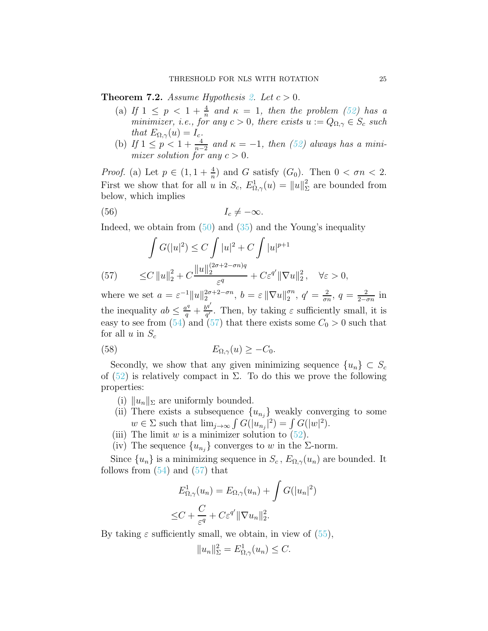<span id="page-24-1"></span>**Theorem 7.[2.](#page-22-4)** Assume Hypothesis 2. Let  $c > 0$ .

- (a) If  $1 \leq p \leq 1 + \frac{4}{n}$  and  $\kappa = 1$ , then the problem [\(52\)](#page-23-1) has a minimizer, i.e., for any  $c > 0$ , there exists  $u := Q_{\Omega, \gamma} \in S_c$  such that  $E_{\Omega,\gamma}(u) = I_c$ .
- (b) If  $1 \leq p < 1 + \frac{4}{n-2}$  and  $\kappa = -1$ , then [\(52\)](#page-23-1) always has a minimizer solution for any  $c > 0$ .

*Proof.* (a) Let  $p \in (1, 1 + \frac{4}{n})$  and G satisfy  $(G_0)$ . Then  $0 < \sigma n < 2$ . First we show that for all u in  $S_c$ ,  $E^1_{\Omega,\gamma}(u) = ||u||^2_{\Sigma}$  $\frac{2}{2}$  are bounded from below, which implies

$$
(56) \t I_c \neq -\infty.
$$

Indeed, we obtain from  $(50)$  and  $(35)$  and the Young's inequality

$$
\int G(|u|^2) \le C \int |u|^2 + C \int |u|^{p+1}
$$
\n(57)\n
$$
\le C \|u\|_2^2 + C \frac{\|u\|_2^{(2\sigma+2-\sigma n)q}}{\varepsilon^q} + C\varepsilon^{q'} \|\nabla u\|_2^2, \quad \forall \varepsilon > 0,
$$

<span id="page-24-0"></span>where we set  $a = \varepsilon^{-1} ||u||_2^{2\sigma+2-\sigma n}$ ,  $b = \varepsilon ||\nabla u||_2^{\sigma n}$  $\frac{\sigma n}{2}, q' = \frac{2}{\sigma n}$  $\frac{2}{\sigma n},\, q=\frac{2}{2-\epsilon}$  $\frac{2}{2-\sigma n}$  in the inequality  $ab \leq \frac{a^q}{q} + \frac{b^{q'}}{q'}$  $\frac{\partial^q}{\partial q'}$ . Then, by taking  $\varepsilon$  sufficiently small, it is easy to see from  $(54)$  and  $(57)$  that there exists some  $C_0 > 0$  such that for all u in  $S_c$ 

(58) 
$$
E_{\Omega,\gamma}(u) \geq -C_0.
$$

Secondly, we show that any given minimizing sequence  $\{u_n\} \subset S_c$ of  $(52)$  is relatively compact in  $\Sigma$ . To do this we prove the following properties:

- (i)  $||u_n||_{\Sigma}$  are uniformly bounded.
- (ii) There exists a subsequence  ${u_{n_j}}$  weakly converging to some  $w \in \Sigma$  such that  $\lim_{j \to \infty} \int G(|u_{n_j}|^2) = \int G(|w|^2)$ .
- (iii) The limit  $w$  is a minimizer solution to  $(52)$ .
- (iv) The sequence  ${u_{n_j}}$  converges to w in the *Σ*-norm.

Since  $\{u_n\}$  is a minimizing sequence in  $S_c$ ,  $E_{\Omega,\gamma}(u_n)$  are bounded. It follows from  $(54)$  and  $(57)$  that

$$
E_{\Omega,\gamma}^1(u_n) = E_{\Omega,\gamma}(u_n) + \int G(|u_n|^2)
$$
  

$$
\leq C + \frac{C}{\varepsilon^q} + C\varepsilon^{q'} \|\nabla u_n\|_2^2.
$$

By taking  $\varepsilon$  sufficiently small, we obtain, in view of  $(55)$ ,

$$
||u_n||_{\Sigma}^2 = E_{\Omega,\gamma}^1(u_n) \leq C.
$$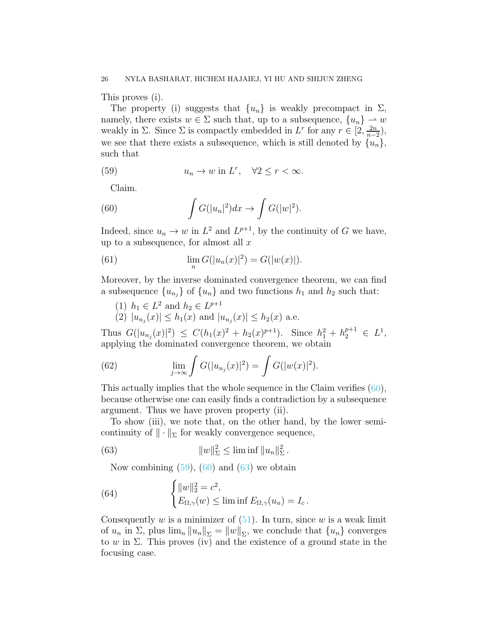This proves (i).

The property (i) suggests that  $\{u_n\}$  is weakly precompact in  $\Sigma$ , namely, there exists  $w \in \Sigma$  such that, up to a subsequence,  $\{u_n\} \to w$ weakly in  $\Sigma$ . Since  $\Sigma$  is compactly embedded in  $L^r$  for any  $r \in [2, \frac{2n}{n-1}]$  $\frac{2n}{n-2}$ ), we see that there exists a subsequence, which is still denoted by  $\{u_n\}$ , such that

(59) 
$$
u_n \to w \text{ in } L^r, \quad \forall 2 \leq r < \infty.
$$

<span id="page-25-1"></span><span id="page-25-0"></span>Claim.

(60) 
$$
\int G(|u_n|^2)dx \to \int G(|w|^2).
$$

Indeed, since  $u_n \to w$  in  $L^2$  and  $L^{p+1}$ , by the continuity of G we have, up to a subsequence, for almost all  $x$ 

(61) 
$$
\lim_{n} G(|u_n(x)|^2) = G(|w(x)|).
$$

Moreover, by the inverse dominated convergence theorem, we can find a subsequence  ${u_{n_j}}$  of  ${u_n}$  and two functions  $h_1$  and  $h_2$  such that:

- (1)  $h_1 \in L^2$  and  $h_2 \in L^{p+1}$
- (2)  $|u_{n_j}(x)| \leq h_1(x)$  and  $|u_{n_j}(x)| \leq h_2(x)$  a.e.

Thus  $G(|u_{n_j}(x)|^2) \leq C(h_1(x)^2 + h_2(x)^{p+1})$ . Since  $h_1^2 + h_2^{p+1} \in L^1$ , applying the dominated convergence theorem, we obtain

(62) 
$$
\lim_{j \to \infty} \int G(|u_{n_j}(x)|^2) = \int G(|w(x)|^2).
$$

This actually implies that the whole sequence in the Claim verifies [\(60\)](#page-25-0), because otherwise one can easily finds a contradiction by a subsequence argument. Thus we have proven property (ii).

To show (iii), we note that, on the other hand, by the lower semicontinuity of  $\|\cdot\|_{\Sigma}$  for weakly convergence sequence,

(63) 
$$
||w||_{\Sigma}^{2} \leq \liminf ||u_{n}||_{\Sigma}^{2}.
$$

<span id="page-25-2"></span>Now combining  $(59)$ ,  $(60)$  and  $(63)$  we obtain

(64) 
$$
\begin{cases} ||w||_2^2 = c^2, \\ E_{\Omega, \gamma}(w) \le \liminf E_{\Omega, \gamma}(u_n) = I_c. \end{cases}
$$

Consequently w is a minimizer of  $(51)$ . In turn, since w is a weak limit of  $u_n$  in  $\Sigma$ , plus  $\lim_n ||u_n||_{\Sigma} = ||w||_{\Sigma}$ , we conclude that  $\{u_n\}$  converges to w in  $\Sigma$ . This proves (iv) and the existence of a ground state in the focusing case.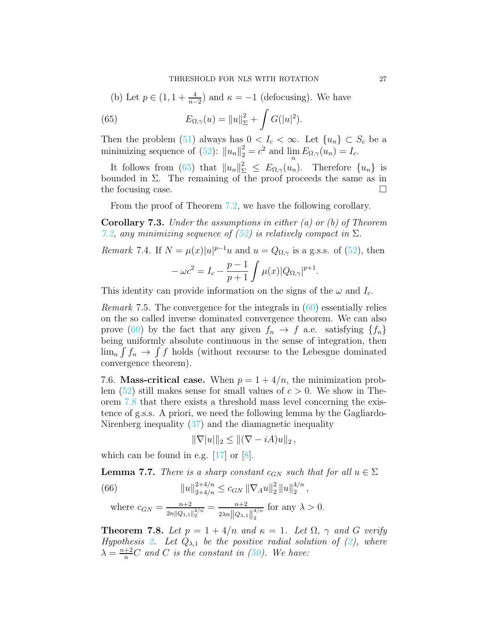(b) Let 
$$
p \in (1, 1 + \frac{4}{n-2})
$$
 and  $\kappa = -1$  (defocusing). We have

<span id="page-26-0"></span>(65) 
$$
E_{\Omega,\gamma}(u) = ||u||_{\Sigma}^2 + \int G(|u|^2).
$$

Then the problem [\(51\)](#page-23-5) always has  $0 < I_c < \infty$ . Let  $\{u_n\} \subset S_c$  be a minimizing sequence of [\(52\)](#page-23-1):  $||u_n||_2^2 = c^2$  and  $\lim_n E_{\Omega,\gamma}(u_n) = I_c$ .

It follows from [\(65\)](#page-26-0) that  $||u_n||_{\Sigma}^2 \leq E_{\Omega,\gamma}(u_n)$ . Therefore  $\{u_n\}$  is bounded in  $\Sigma$ . The remaining of the proof proceeds the same as in the focusing case.  $\Box$ 

From the proof of Theorem [7.2,](#page-24-1) we have the following corollary.

<span id="page-26-3"></span>**Corollary 7.3.** Under the assumptions in either  $(a)$  or  $(b)$  of Theorem [7.2,](#page-24-1) any minimizing sequence of [\(52\)](#page-23-1) is relatively compact in  $\Sigma$ .

*Remark* 7.4. If  $N = \mu(x)|u|^{p-1}u$  and  $u = Q_{\Omega, \gamma}$  is a g.s.s. of [\(52\)](#page-23-1), then

$$
-\omega c^2 = I_c - \frac{p-1}{p+1} \int \mu(x) |Q_{\Omega,\gamma}|^{p+1}.
$$

This identity can provide information on the signs of the  $\omega$  and  $I_c$ .

Remark 7.5. The convergence for the integrals in [\(60\)](#page-25-0) essentially relies on the so called inverse dominated convergence theorem. We can also prove [\(60\)](#page-25-0) by the fact that any given  $f_n \to f$  a.e. satisfying  $\{f_n\}$ being uniformly absolute continuous in the sense of integration, then  $\lim_{n} \int f_n \to \int f$  holds (without recourse to the Lebesgue dominated convergence theorem).

7.6. Mass-critical case. When  $p = 1 + 4/n$ , the minimization problem  $(52)$  still makes sense for small values of  $c > 0$ . We show in Theorem [7.8](#page-26-1) that there exists a threshold mass level concerning the existence of g.s.s. A priori, we need the following lemma by the Gagliardo-Nirenberg inequality [\(37\)](#page-17-1) and the diamagnetic inequality

$$
\|\nabla |u|\|_2 \leq \|(\nabla - iA)u\|_2,
$$

which can be found in e.g.  $[17]$  or  $[8]$ .

<span id="page-26-2"></span>**Lemma 7.7.** There is a sharp constant  $c_{GN}$  such that for all  $u \in \Sigma$ 

(66) 
$$
||u||_{2+4/n}^{2+4/n} \leq c_{GN} ||\nabla_A u||_2^2 ||u||_2^{4/n},
$$

where 
$$
c_{GN} = \frac{n+2}{2n \|Q_{1,1}\|_2^{4/n}} = \frac{n+2}{2\lambda n \|Q_{\lambda,1}\|_2^{4/n}}
$$
 for any  $\lambda > 0$ .

<span id="page-26-1"></span>**Theorem 7.8.** Let  $p = 1 + 4/n$  and  $\kappa = 1$ . Let  $\Omega$ ,  $\gamma$  and G verify Hypothesis [2.](#page-22-4) Let  $Q_{\lambda,1}$  be the positive radial solution of [\(2\)](#page-2-1), where  $\lambda = \frac{n+2}{n}$  $\frac{+2}{n}C$  and C is the constant in [\(50\)](#page-23-2). We have: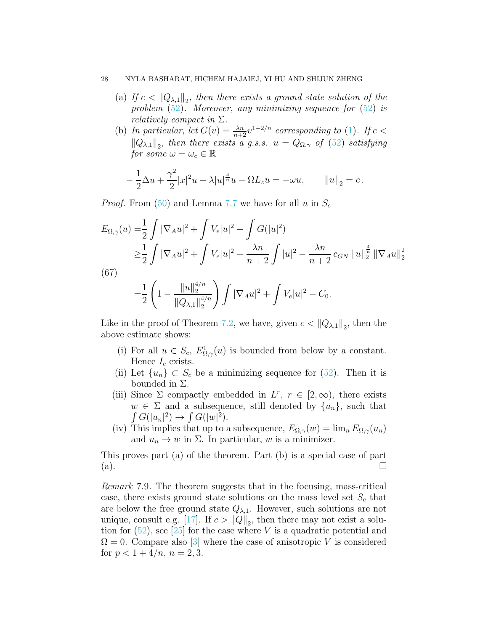### 28 NYLA BASHARAT, HICHEM HAJAIEJ, YI HU AND SHIJUN ZHENG

- (a) If  $c < ||Q_{\lambda,1}||_2$ , then there exists a ground state solution of the problem [\(52\)](#page-23-1). Moreover, any minimizing sequence for [\(52\)](#page-23-1) is *relatively compact in*  $\Sigma$ .
- (b) In particular, let  $G(v) = \frac{\lambda n}{n+2} v^{1+2/n}$  corresponding to [\(1\)](#page-1-1). If  $c <$  $\|Q_{\lambda,1}\|_2$ , then there exists a g.s.s.  $u = Q_{\Omega,\gamma}$  of [\(52\)](#page-23-1) satisfying for some  $\omega = \omega_c \in \mathbb{R}$

$$
-\frac{1}{2}\Delta u + \frac{\gamma^2}{2}|x|^2u - \lambda|u|^{\frac{4}{n}}u - \Omega L_z u = -\omega u, \qquad ||u||_2 = c.
$$

*Proof.* From [\(50\)](#page-23-2) and Lemma [7.7](#page-26-2) we have for all u in  $S_c$ 

$$
E_{\Omega,\gamma}(u) = \frac{1}{2} \int |\nabla_A u|^2 + \int V_e |u|^2 - \int G(|u|^2) \geq \frac{1}{2} \int |\nabla_A u|^2 + \int V_e |u|^2 - \frac{\lambda n}{n+2} \int |u|^2 - \frac{\lambda n}{n+2} c_{GN} ||u||_2^{\frac{4}{n}} ||\nabla_A u||_2^2
$$
\n(67)

<span id="page-27-0"></span>
$$
= \frac{1}{2}\left(1 - \frac{\|u\|_2^{4/n}}{\|Q_{\lambda,1}\|_2^{4/n}}\right)\int |\nabla_A u|^2 + \int V_e|u|^2 - C_0.
$$

Like in the proof of Theorem [7.2,](#page-24-1) we have, given  $c < ||Q_{\lambda,1}||_2$ , then the above estimate shows:

- (i) For all  $u \in S_c$ ,  $E^1_{\Omega,\gamma}(u)$  is bounded from below by a constant. Hence  $I_c$  exists.
- (ii) Let  $\{u_n\} \subset S_c$  be a minimizing sequence for [\(52\)](#page-23-1). Then it is bounded in  $\Sigma$ .
- (iii) Since  $\Sigma$  compactly embedded in  $L^r$ ,  $r \in [2,\infty)$ , there exists  $w \in \Sigma$  and a subsequence, still denoted by  $\{u_n\}$ , such that  $\int G(|u_n|^2) \rightarrow \int G(|w|^2).$
- (iv) This implies that up to a subsequence,  $E_{\Omega,\gamma}(w) = \lim_{n} E_{\Omega,\gamma}(u_n)$ and  $u_n \to w$  in  $\Sigma$ . In particular, w is a minimizer.

This proves part (a) of the theorem. Part (b) is a special case of part  $(a)$ .

Remark 7.9. The theorem suggests that in the focusing, mass-critical case, there exists ground state solutions on the mass level set  $S_c$  that are below the free ground state  $Q_{\lambda,1}$ . However, such solutions are not unique, consult e.g. [\[17\]](#page-34-11). If  $c > ||Q||_2$ , then there may not exist a solution for  $(52)$ , see [\[25\]](#page-34-8) for the case where V is a quadratic potential and  $\Omega = 0$ . Compare also [\[3\]](#page-33-12) where the case of anisotropic V is considered for  $p < 1 + 4/n$ ,  $n = 2, 3$ .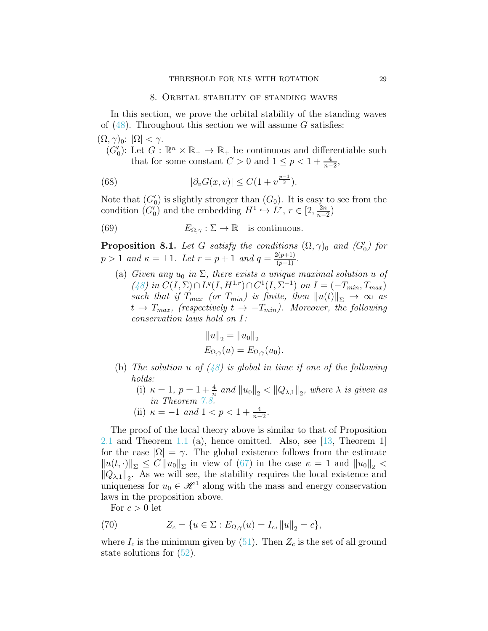### 8. Orbital stability of standing waves

<span id="page-28-0"></span>In this section, we prove the orbital stability of the standing waves of  $(48)$ . Throughout this section we will assume G satisfies:

$$
(\Omega, \gamma)_0 \colon |\Omega| < \gamma.
$$

 $(G'_0)$ : Let  $G: \mathbb{R}^n \times \mathbb{R}_+ \to \mathbb{R}_+$  be continuous and differentiable such that for some constant  $C > 0$  and  $1 \le p < 1 + \frac{4}{n-2}$ ,

(68) 
$$
|\partial_v G(x,v)| \leq C(1 + v^{\frac{p-1}{2}}).
$$

Note that  $(G'_{0})$  is slightly stronger than  $(G_{0})$ . It is easy to see from the condition  $(G'_0)$  and the embedding  $H^1 \hookrightarrow L^r$ ,  $r \in [2, \frac{2n}{n-1}]$  $\frac{2n}{n-2}$ 

(69) 
$$
E_{\Omega,\gamma}: \Sigma \to \mathbb{R}
$$
 is continuous.

<span id="page-28-1"></span>**Proposition 8.1.** Let G satisfy the conditions  $(\Omega, \gamma)$ <sub>0</sub> and  $(G'_0)$  for  $p > 1$  and  $\kappa = \pm 1$ . Let  $r = p + 1$  and  $q = \frac{2(p+1)}{(p-1)}$ .

(a) Given any  $u_0$  in  $\Sigma$ , there exists a unique maximal solution u of [\(48\)](#page-22-3) in  $C(I, \Sigma) ∩ L<sup>q</sup>(I, H<sup>1,r</sup>) ∩ C<sup>1</sup>(I, \Sigma<sup>-1</sup>)$  on  $I = (-T<sub>min</sub>, T<sub>max</sub>)$ such that if  $T_{max}$  (or  $T_{min}$ ) is finite, then  $||u(t)||_{\Sigma} \rightarrow \infty$  as  $t \to T_{max}$ , (respectively  $t \to -T_{min}$ ). Moreover, the following conservation laws hold on I:

$$
||u||_2 = ||u_0||_2
$$
  
\n $E_{\Omega,\gamma}(u) = E_{\Omega,\gamma}(u_0).$ 

- (b) The solution u of  $(48)$  is global in time if one of the following holds:
	- (i)  $\kappa = 1$ ,  $p = 1 + \frac{4}{n}$  and  $||u_0||_2 < ||Q_{\lambda,1}||_2$ , where  $\lambda$  is given as in Theorem [7.8.](#page-26-1)
	- (ii)  $\kappa = -1$  and  $1 < p < 1 + \frac{4}{n-2}$ .

The proof of the local theory above is similar to that of Proposition [2.1](#page-6-2) and Theorem [1.1](#page-2-0) (a), hence omitted. Also, see  $[13,$  Theorem 1 for the case  $|\Omega| = \gamma$ . The global existence follows from the estimate  $||u(t, \cdot)||_{\Sigma} \leq C ||u_0||_{\Sigma}$  in view of [\(67\)](#page-27-0) in the case  $\kappa = 1$  and  $||u_0||_2$  <  $||Q_{\lambda,1}||_2$ . As we will see, the stability requires the local existence and uniqueness for  $u_0 \in \mathcal{H}^1$  along with the mass and energy conservation laws in the proposition above.

<span id="page-28-2"></span>For  $c > 0$  let

(70) 
$$
Z_c = \{u \in \Sigma : E_{\Omega, \gamma}(u) = I_c, ||u||_2 = c\},\
$$

where  $I_c$  is the minimum given by [\(51\)](#page-23-5). Then  $Z_c$  is the set of all ground state solutions for [\(52\)](#page-23-1).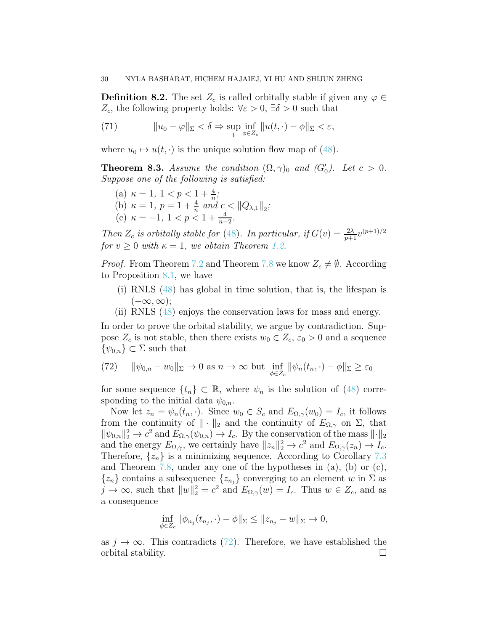**Definition 8.2.** The set  $Z_c$  is called orbitally stable if given any  $\varphi \in$  $Z_c$ , the following property holds:  $\forall \varepsilon > 0$ ,  $\exists \delta > 0$  such that

(71) 
$$
\|u_0 - \varphi\|_{\Sigma} < \delta \Rightarrow \sup_{t} \inf_{\phi \in Z_c} \|u(t, \cdot) - \phi\|_{\Sigma} < \varepsilon,
$$

where  $u_0 \mapsto u(t, \cdot)$  is the unique solution flow map of [\(48\)](#page-22-3).

<span id="page-29-0"></span>**Theorem 8.3.** Assume the condition  $(\Omega, \gamma)_0$  and  $(G'_0)$ . Let  $c > 0$ . Suppose one of the following is satisfied:

(a)  $\kappa = 1, 1 < p < 1 + \frac{4}{n};$ (b)  $\kappa = 1$ ,  $p = 1 + \frac{4}{n}$  and  $c < ||Q_{\lambda,1}||_2$ ; (c)  $\kappa = -1, 1 < p < 1 + \frac{4}{n-2}.$ 

Then  $Z_c$  is orbitally stable for [\(48\)](#page-22-3). In particular, if  $G(v) = \frac{2\lambda}{p+1}v^{(p+1)/2}$ for  $v \geq 0$  with  $\kappa = 1$ , we obtain Theorem [1.2.](#page-5-0)

*Proof.* From Theorem [7.2](#page-24-1) and Theorem [7.8](#page-26-1) we know  $Z_c \neq \emptyset$ . According to Proposition [8.1,](#page-28-1) we have

- (i) RNLS [\(48\)](#page-22-3) has global in time solution, that is, the lifespan is  $(-\infty, \infty);$
- (ii) RNLS [\(48\)](#page-22-3) enjoys the conservation laws for mass and energy.

In order to prove the orbital stability, we argue by contradiction. Suppose  $Z_c$  is not stable, then there exists  $w_0 \in Z_c$ ,  $\varepsilon_0 > 0$  and a sequence  $\{\psi_{0,n}\}\subset\Sigma$  such that

<span id="page-29-1"></span>(72) 
$$
\|\psi_{0,n} - w_0\|_{\Sigma} \to 0 \text{ as } n \to \infty \text{ but } \inf_{\phi \in Z_c} \|\psi_n(t_n, \cdot) - \phi\|_{\Sigma} \geq \varepsilon_0
$$

for some sequence  $\{t_n\} \subset \mathbb{R}$ , where  $\psi_n$  is the solution of [\(48\)](#page-22-3) corresponding to the initial data  $\psi_{0,n}$ .

Now let  $z_n = \psi_n(t_n, \cdot)$ . Since  $w_0 \in S_c$  and  $E_{\Omega, \gamma}(w_0) = I_c$ , it follows from the continuity of  $\|\cdot\|_2$  and the continuity of  $E_{\Omega,\gamma}$  on  $\Sigma$ , that  $\|\psi_{0,n}\|_2^2 \to c^2$  and  $E_{\Omega,\gamma}(\psi_{0,n}) \to I_c$ . By the conservation of the mass  $\|\cdot\|_2$ and the energy  $E_{\Omega,\gamma}$ , we certainly have  $||z_n||_2^2 \to c^2$  and  $E_{\Omega,\gamma}(z_n) \to I_c$ . Therefore,  $\{z_n\}$  is a minimizing sequence. According to Corollary [7.3](#page-26-3) and Theorem [7.8,](#page-26-1) under any one of the hypotheses in (a), (b) or (c),  $\{z_n\}$  contains a subsequence  $\{z_{n_j}\}$  converging to an element w in  $\Sigma$  as  $j \to \infty$ , such that  $||w||_2^2 = c^2$  and  $E_{\Omega,\gamma}(w) = I_c$ . Thus  $w \in Z_c$ , and as a consequence

$$
\inf_{\phi \in Z_c} \|\phi_{n_j}(t_{n_j},\cdot) - \phi\|_{\Sigma} \le \|z_{n_j} - w\|_{\Sigma} \to 0,
$$

as  $j \to \infty$ . This contradicts [\(72\)](#page-29-1). Therefore, we have established the orbital stability. orbital stability.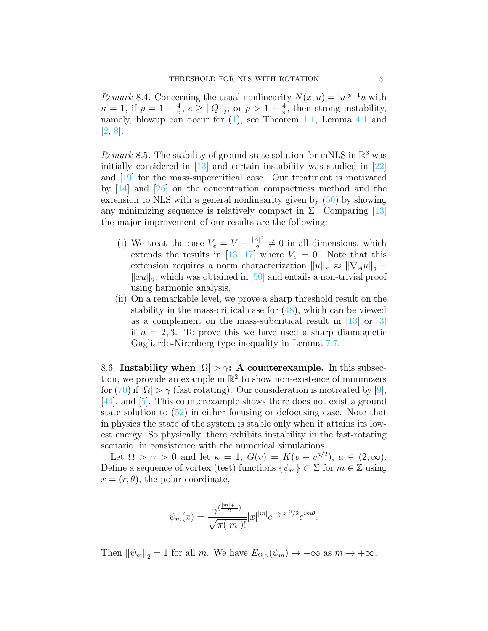Remark 8.4. Concerning the usual nonlinearity  $N(x, u) = |u|^{p-1}u$  with  $\kappa = 1$ , if  $p = 1 + \frac{4}{n}$ ,  $c \ge ||Q||_2$ , or  $p > 1 + \frac{4}{n}$ , then strong instability, namely, blowup can occur for  $(1)$ , see Theorem [1.1,](#page-2-0) Lemma [4.1](#page-13-1) and [\[2,](#page-33-6) [8\]](#page-33-8).

Remark 8.5. The stability of ground state solution for mNLS in  $\mathbb{R}^3$  was initially considered in [\[13\]](#page-33-7) and certain instability was studied in [\[22\]](#page-34-15) and [\[19\]](#page-34-17) for the mass-supercritical case. Our treatment is motivated by [\[14\]](#page-33-11) and [\[26\]](#page-34-9) on the concentration compactness method and the extension to NLS with a general nonlinearity given by [\(50\)](#page-23-2) by showing any minimizing sequence is relatively compact in  $\Sigma$ . Comparing [\[13\]](#page-33-7) the major improvement of our results are the following:

- (i) We treat the case  $V_e = V \frac{|A|^2}{r^2}$  $\frac{4}{2} \neq 0$  in all dimensions, which extends the results in [\[13,](#page-33-7) [17\]](#page-34-11) where  $V_e = 0$ . Note that this extension requires a norm characterization  $||u||_{\Sigma} \approx ||\nabla_A u||_2 +$  $||xu||_2$ , which was obtained in [\[50\]](#page-35-3) and entails a non-trivial proof using harmonic analysis.
- (ii) On a remarkable level, we prove a sharp threshold result on the stability in the mass-critical case for [\(48\)](#page-22-3), which can be viewed as a complement on the mass-subcritical result in [\[13\]](#page-33-7) or [\[3\]](#page-33-12) if  $n = 2, 3$ . To prove this we have used a sharp diamagnetic Gagliardo-Nirenberg type inequality in Lemma [7.7.](#page-26-2)

8.6. Instability when  $|\Omega| > \gamma$ : A counterexample. In this subsection, we provide an example in  $\mathbb{R}^2$  to show non-existence of minimizers for [\(70\)](#page-28-2) if  $|\Omega| > \gamma$  (fast rotating). Our consideration is motivated by [\[9\]](#page-33-4), [\[44\]](#page-35-1), and [\[5\]](#page-33-3). This counterexample shows there does not exist a ground state solution to [\(52\)](#page-23-1) in either focusing or defocusing case. Note that in physics the state of the system is stable only when it attains its lowest energy. So physically, there exhibits instability in the fast-rotating scenario, in consistence with the numerical simulations.

Let  $\Omega > \gamma > 0$  and let  $\kappa = 1$ ,  $G(v) = K(v + v^{a/2})$ ,  $a \in (2, \infty)$ . Define a sequence of vortex (test) functions  $\{\psi_m\} \subset \Sigma$  for  $m \in \mathbb{Z}$  using  $x = (r, \theta)$ , the polar coordinate,

$$
\psi_m(x) = \frac{\gamma^{(\frac{|m|+1}{2})}}{\sqrt{\pi(|m|)!}} |x|^{|m|} e^{-\gamma |x|^2/2} e^{im\theta}.
$$

Then  $\|\psi_m\|_2 = 1$  for all m. We have  $E_{\Omega,\gamma}(\psi_m) \to -\infty$  as  $m \to +\infty$ .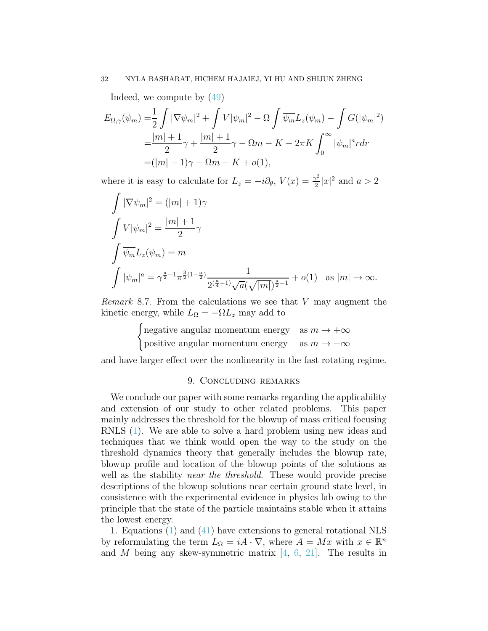### 32 NYLA BASHARAT, HICHEM HAJAIEJ, YI HU AND SHIJUN ZHENG

Indeed, we compute by [\(49\)](#page-22-5)

$$
E_{\Omega,\gamma}(\psi_m) = \frac{1}{2} \int |\nabla \psi_m|^2 + \int V |\psi_m|^2 - \Omega \int \overline{\psi_m} L_z(\psi_m) - \int G(|\psi_m|^2) = \frac{|m|+1}{2} \gamma + \frac{|m|+1}{2} \gamma - \Omega m - K - 2\pi K \int_0^\infty |\psi_m|^a r dr = (|m|+1)\gamma - \Omega m - K + o(1),
$$

where it is easy to calculate for  $L_z = -i\partial_\theta$ ,  $V(x) = \frac{\gamma^2}{2}$  $\frac{\gamma^2}{2}|x|^2$  and  $a > 2$ 

$$
\int |\nabla \psi_m|^2 = (|m| + 1)\gamma
$$
  
\n
$$
\int V |\psi_m|^2 = \frac{|m| + 1}{2} \gamma
$$
  
\n
$$
\int \overline{\psi_m} L_z(\psi_m) = m
$$
  
\n
$$
\int |\psi_m|^a = \gamma^{\frac{a}{2} - 1} \pi^{\frac{3}{2}(1 - \frac{a}{2})} \frac{1}{2^{\left(\frac{a}{4} - 1\right)} \sqrt{a}(\sqrt{|m|})^{\frac{a}{2} - 1}} + o(1) \text{ as } |m| \to \infty.
$$

Remark 8.7. From the calculations we see that  $V$  may augment the kinetic energy, while  $L_{\Omega} = -\Omega L_z$  may add to

> $\int$ negative angular momentum energy as  $m \rightarrow +\infty$ positive angular momentum energy as  $m \to -\infty$

<span id="page-31-0"></span>and have larger effect over the nonlinearity in the fast rotating regime.

# 9. Concluding remarks

We conclude our paper with some remarks regarding the applicability and extension of our study to other related problems. This paper mainly addresses the threshold for the blowup of mass critical focusing RNLS [\(1\)](#page-1-1). We are able to solve a hard problem using new ideas and techniques that we think would open the way to the study on the threshold dynamics theory that generally includes the blowup rate, blowup profile and location of the blowup points of the solutions as well as the stability *near the threshold*. These would provide precise descriptions of the blowup solutions near certain ground state level, in consistence with the experimental evidence in physics lab owing to the principle that the state of the particle maintains stable when it attains the lowest energy.

1. Equations [\(1\)](#page-1-1) and [\(41\)](#page-19-1) have extensions to general rotational NLS by reformulating the term  $L_{\Omega} = iA \cdot \nabla$ , where  $A = Mx$  with  $x \in \mathbb{R}^n$ and M being any skew-symmetric matrix  $[4, 6, 21]$  $[4, 6, 21]$  $[4, 6, 21]$  $[4, 6, 21]$ . The results in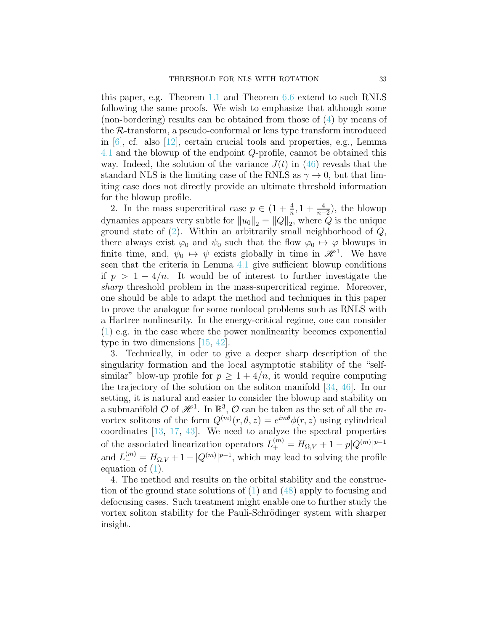this paper, e.g. Theorem [1.1](#page-2-0) and Theorem [6.6](#page-22-1) extend to such RNLS following the same proofs. We wish to emphasize that although some (non-bordering) results can be obtained from those of [\(4\)](#page-5-1) by means of the R-transform, a pseudo-conformal or lens type transform introduced in [\[6\]](#page-33-5), cf. also [\[12\]](#page-33-13), certain crucial tools and properties, e.g., Lemma [4.1](#page-13-1) and the blowup of the endpoint Q-profile, cannot be obtained this way. Indeed, the solution of the variance  $J(t)$  in [\(46\)](#page-21-4) reveals that the standard NLS is the limiting case of the RNLS as  $\gamma \to 0$ , but that limiting case does not directly provide an ultimate threshold information for the blowup profile.

2. In the mass supercritical case  $p \in (1 + \frac{4}{n}, 1 + \frac{4}{n-2})$ , the blowup dynamics appears very subtle for  $||u_0||_2 = ||Q||_2$ , where Q is the unique ground state of  $(2)$ . Within an arbitrarily small neighborhood of  $Q$ , there always exist  $\varphi_0$  and  $\psi_0$  such that the flow  $\varphi_0 \mapsto \varphi$  blowups in finite time, and,  $\psi_0 \mapsto \psi$  exists globally in time in  $\mathscr{H}^1$ . We have seen that the criteria in Lemma [4.1](#page-13-1) give sufficient blowup conditions if  $p > 1 + 4/n$ . It would be of interest to further investigate the sharp threshold problem in the mass-supercritical regime. Moreover, one should be able to adapt the method and techniques in this paper to prove the analogue for some nonlocal problems such as RNLS with a Hartree nonlinearity. In the energy-critical regime, one can consider [\(1\)](#page-1-1) e.g. in the case where the power nonlinearity becomes exponential type in two dimensions [\[15,](#page-33-14) [42\]](#page-35-12).

3. Technically, in oder to give a deeper sharp description of the singularity formation and the local asymptotic stability of the "selfsimilar" blow-up profile for  $p \geq 1 + 4/n$ , it would require computing the trajectory of the solution on the soliton manifold [\[34,](#page-35-13) [46\]](#page-35-14). In our setting, it is natural and easier to consider the blowup and stability on a submanifold  $\mathcal{O}$  of  $\mathcal{H}^1$ . In  $\mathbb{R}^3$ ,  $\mathcal{O}$  can be taken as the set of all the *m*vortex solitons of the form  $Q^{(m)}(r, \theta, z) = e^{im\theta} \phi(r, z)$  using cylindrical coordinates [\[13,](#page-33-7) [17,](#page-34-11) [43\]](#page-35-15). We need to analyze the spectral properties of the associated linearization operators  $L_{+}^{(m)} = H_{\Omega,V} + 1 - p|Q^{(m)}|^{p-1}$ and  $L_{-}^{(m)} = H_{\Omega,V} + 1 - |Q^{(m)}|^{p-1}$ , which may lead to solving the profile equation of [\(1\)](#page-1-1).

4. The method and results on the orbital stability and the construction of the ground state solutions of [\(1\)](#page-1-1) and [\(48\)](#page-22-3) apply to focusing and defocusing cases. Such treatment might enable one to further study the vortex soliton stability for the Pauli-Schrödinger system with sharper insight.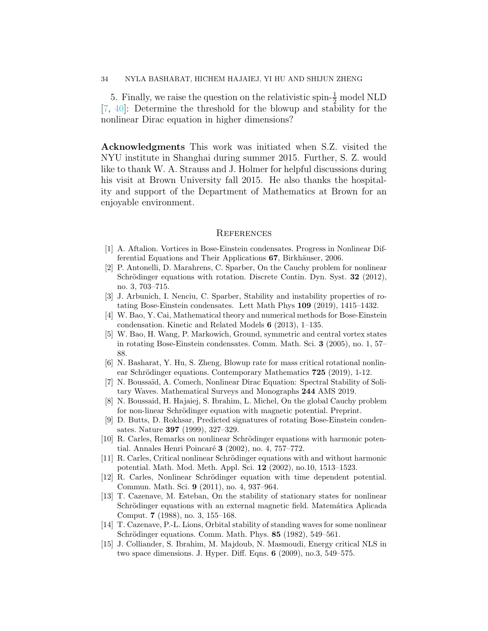5. Finally, we raise the question on the relativistic spin- $\frac{1}{2}$  model NLD [\[7,](#page-33-15) [40\]](#page-35-16): Determine the threshold for the blowup and stability for the nonlinear Dirac equation in higher dimensions?

Acknowledgments This work was initiated when S.Z. visited the NYU institute in Shanghai during summer 2015. Further, S. Z. would like to thank W. A. Strauss and J. Holmer for helpful discussions during his visit at Brown University fall 2015. He also thanks the hospitality and support of the Department of Mathematics at Brown for an enjoyable environment.

### <span id="page-33-0"></span>**REFERENCES**

- <span id="page-33-1"></span>[1] A. Aftalion. Vortices in Bose-Einstein condensates. Progress in Nonlinear Differential Equations and Their Applications 67, Birkhäuser, 2006.
- <span id="page-33-6"></span>[2] P. Antonelli, D. Marahrens, C. Sparber, On the Cauchy problem for nonlinear Schrödinger equations with rotation. Discrete Contin. Dyn. Syst.  $32$  (2012), no. 3, 703–715.
- <span id="page-33-12"></span>[3] J. Arbunich, I. Nenciu, C. Sparber, Stability and instability properties of rotating Bose-Einstein condensates. Lett Math Phys 109 (2019), 1415–1432.
- <span id="page-33-2"></span>[4] W. Bao, Y. Cai, Mathematical theory and numerical methods for Bose-Einstein condensation. Kinetic and Related Models 6 (2013), 1–135.
- <span id="page-33-3"></span>[5] W. Bao, H. Wang, P. Markowich, Ground, symmetric and central vortex states in rotating Bose-Einstein condensates. Comm. Math. Sci. 3 (2005), no. 1, 57– 88.
- <span id="page-33-5"></span>[6] N. Basharat, Y. Hu, S. Zheng, Blowup rate for mass critical rotational nonlinear Schrödinger equations. Contemporary Mathematics 725 (2019), 1-12.
- <span id="page-33-15"></span><span id="page-33-8"></span>[7] N. Boussa¨ıd, A. Comech, Nonlinear Dirac Equation: Spectral Stability of Solitary Waves. Mathematical Surveys and Monographs 244 AMS 2019.
- <span id="page-33-4"></span>[8] N. Boussaid, H. Hajaiej, S. Ibrahim, L. Michel, On the global Cauchy problem for non-linear Schrödinger equation with magnetic potential. Preprint.
- [9] D. Butts, D. Rokhsar, Predicted signatures of rotating Bose-Einstein condensates. Nature 397 (1999), 327–329.
- <span id="page-33-9"></span>[10] R. Carles, Remarks on nonlinear Schrödinger equations with harmonic potential. Annales Henri Poincaré  $3$  (2002), no. 4, 757–772.
- <span id="page-33-10"></span>[11] R. Carles, Critical nonlinear Schrödinger equations with and without harmonic potential. Math. Mod. Meth. Appl. Sci. 12 (2002), no.10, 1513–1523.
- <span id="page-33-13"></span>[12] R. Carles, Nonlinear Schrödinger equation with time dependent potential. Commun. Math. Sci. 9 (2011), no. 4, 937–964.
- <span id="page-33-7"></span>[13] T. Cazenave, M. Esteban, On the stability of stationary states for nonlinear Schrödinger equations with an external magnetic field. Matemática Aplicada Comput. 7 (1988), no. 3, 155–168.
- <span id="page-33-11"></span>[14] T. Cazenave, P.-L. Lions, Orbital stability of standing waves for some nonlinear Schrödinger equations. Comm. Math. Phys.  $85$  (1982), 549–561.
- <span id="page-33-14"></span>[15] J. Colliander, S. Ibrahim, M. Majdoub, N. Masmoudi, Energy critical NLS in two space dimensions. J. Hyper. Diff. Eqns. 6 (2009), no.3, 549–575.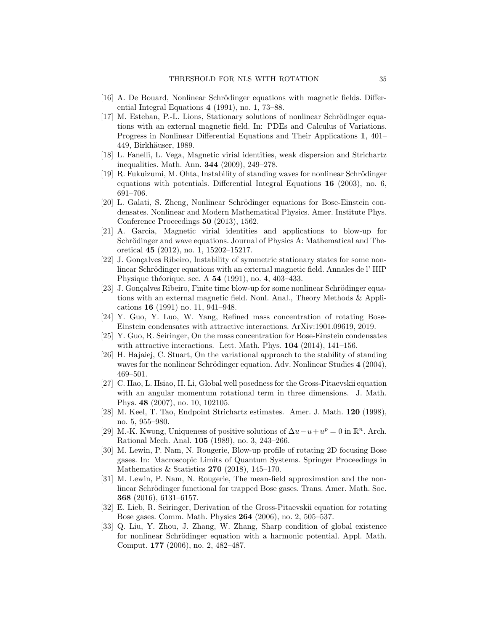- <span id="page-34-11"></span><span id="page-34-4"></span>[16] A. De Bouard, Nonlinear Schrödinger equations with magnetic fields. Differential Integral Equations 4 (1991), no. 1, 73–88.
- [17] M. Esteban, P.-L. Lions, Stationary solutions of nonlinear Schrödinger equations with an external magnetic field. In: PDEs and Calculus of Variations. Progress in Nonlinear Differential Equations and Their Applications 1, 401– 449, Birkhäuser, 1989.
- <span id="page-34-17"></span><span id="page-34-14"></span>[18] L. Fanelli, L. Vega, Magnetic virial identities, weak dispersion and Strichartz inequalities. Math. Ann. 344 (2009), 249–278.
- [19] R. Fukuizumi, M. Ohta, Instability of standing waves for nonlinear Schrödinger equations with potentials. Differential Integral Equations 16 (2003), no. 6, 691–706.
- <span id="page-34-5"></span>[20] L. Galati, S. Zheng, Nonlinear Schrödinger equations for Bose-Einstein condensates. Nonlinear and Modern Mathematical Physics. Amer. Institute Phys. Conference Proceedings 50 (2013), 1562.
- <span id="page-34-0"></span>[21] A. Garcia, Magnetic virial identities and applications to blow-up for Schrödinger and wave equations. Journal of Physics A: Mathematical and Theoretical 45 (2012), no. 1, 15202–15217.
- <span id="page-34-15"></span>[22] J. Gonçalves Ribeiro, Instability of symmetric stationary states for some nonlinear Schrödinger equations with an external magnetic field. Annales de l'IHP Physique théorique. sec. A  $54$  (1991), no. 4, 403–433.
- <span id="page-34-6"></span>[23] J. Gonçalves Ribeiro, Finite time blow-up for some nonlinear Schrödinger equations with an external magnetic field. Nonl. Anal., Theory Methods & Applications 16 (1991) no. 11, 941–948.
- <span id="page-34-10"></span><span id="page-34-8"></span>[24] Y. Guo, Y. Luo, W. Yang, Refined mass concentration of rotating Bose-Einstein condensates with attractive interactions. ArXiv:1901.09619, 2019.
- [25] Y. Guo, R. Seiringer, On the mass concentration for Bose-Einstein condensates with attractive interactions. Lett. Math. Phys. 104 (2014), 141–156.
- <span id="page-34-9"></span>[26] H. Hajaiej, C. Stuart, On the variational approach to the stability of standing waves for the nonlinear Schrödinger equation. Adv. Nonlinear Studies 4 (2004), 469–501.
- <span id="page-34-3"></span>[27] C. Hao, L. Hsiao, H. Li, Global well posedness for the Gross-Pitaevskii equation with an angular momentum rotational term in three dimensions. J. Math. Phys. 48 (2007), no. 10, 102105.
- <span id="page-34-12"></span>[28] M. Keel, T. Tao, Endpoint Strichartz estimates. Amer. J. Math. 120 (1998), no. 5, 955–980.
- <span id="page-34-7"></span>[29] M.-K. Kwong, Uniqueness of positive solutions of  $\Delta u - u + u^p = 0$  in  $\mathbb{R}^n$ . Arch. Rational Mech. Anal. 105 (1989), no. 3, 243–266.
- <span id="page-34-13"></span>[30] M. Lewin, P. Nam, N. Rougerie, Blow-up profile of rotating 2D focusing Bose gases. In: Macroscopic Limits of Quantum Systems. Springer Proceedings in Mathematics & Statistics 270 (2018), 145–170.
- <span id="page-34-1"></span>[31] M. Lewin, P. Nam, N. Rougerie, The mean-field approximation and the nonlinear Schrödinger functional for trapped Bose gases. Trans. Amer. Math. Soc. 368 (2016), 6131–6157.
- <span id="page-34-2"></span>[32] E. Lieb, R. Seiringer, Derivation of the Gross-Pitaevskii equation for rotating Bose gases. Comm. Math. Physics 264 (2006), no. 2, 505–537.
- <span id="page-34-16"></span>[33] Q. Liu, Y. Zhou, J. Zhang, W. Zhang, Sharp condition of global existence for nonlinear Schrödinger equation with a harmonic potential. Appl. Math. Comput. 177 (2006), no. 2, 482–487.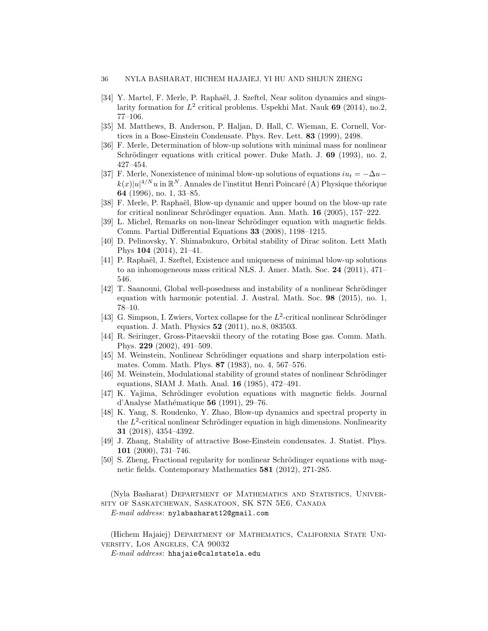- <span id="page-35-13"></span>[34] Y. Martel, F. Merle, P. Raphaël, J. Szeftel, Near soliton dynamics and singularity formation for  $L^2$  critical problems. Uspekhi Mat. Nauk 69 (2014), no.2, 77–106.
- <span id="page-35-0"></span>[35] M. Matthews, B. Anderson, P. Haljan, D. Hall, C. Wieman, E. Cornell, Vortices in a Bose-Einstein Condensate. Phys. Rev. Lett. 83 (1999), 2498.
- <span id="page-35-7"></span>[36] F. Merle, Determination of blow-up solutions with minimal mass for nonlinear Schrödinger equations with critical power. Duke Math. J.  $69$  (1993), no. 2, 427–454.
- <span id="page-35-6"></span>[37] F. Merle, Nonexistence of minimal blow-up solutions of equations  $iu_t = -\Delta u$  $k(x)|u|^{4/N}u$  in  $\mathbb{R}^N$ . Annales de l'institut Henri Poincaré (A) Physique théorique 64 (1996), no. 1, 33–85.
- <span id="page-35-8"></span>[38] F. Merle, P. Raphaël, Blow-up dynamic and upper bound on the blow-up rate for critical nonlinear Schrödinger equation. Ann. Math.  $16$  (2005), 157–222.
- <span id="page-35-16"></span><span id="page-35-2"></span>[39] L. Michel, Remarks on non-linear Schrödinger equation with magnetic fields. Comm. Partial Differential Equations 33 (2008), 1198–1215.
- <span id="page-35-11"></span>[40] D. Pelinovsky, Y. Shimabukuro, Orbital stability of Dirac soliton. Lett Math Phys 104 (2014), 21–41.
- [41] P. Raphaël, J. Szeftel, Existence and uniqueness of minimal blow-up solutions to an inhomogeneous mass critical NLS. J. Amer. Math. Soc. 24 (2011), 471– 546.
- <span id="page-35-12"></span>[42] T. Saanouni, Global well-posedness and instability of a nonlinear Schrödinger equation with harmonic potential. J. Austral. Math. Soc. 98 (2015), no. 1, 78–10.
- <span id="page-35-15"></span>[43] G. Simpson, I. Zwiers, Vortex collapse for the  $L^2$ -critical nonlinear Schrödinger equation. J. Math. Physics 52 (2011), no.8, 083503.
- <span id="page-35-1"></span>[44] R. Seiringer, Gross-Pitaevskii theory of the rotating Bose gas. Comm. Math. Phys. 229 (2002), 491–509.
- <span id="page-35-4"></span>[45] M. Weinstein, Nonlinear Schrödinger equations and sharp interpolation estimates. Comm. Math. Phys. 87 (1983), no. 4, 567–576.
- <span id="page-35-14"></span>[46] M. Weinstein, Modulational stability of ground states of nonlinear Schrödinger equations, SIAM J. Math. Anal. 16 (1985), 472–491.
- <span id="page-35-10"></span>[47] K. Yajima, Schrödinger evolution equations with magnetic fields. Journal d'Analyse Mathématique  $56$  (1991), 29–76.
- <span id="page-35-9"></span>[48] K. Yang, S. Roudenko, Y. Zhao, Blow-up dynamics and spectral property in the  $L^2$ -critical nonlinear Schrödinger equation in high dimensions. Nonlinearity 31 (2018), 4354–4392.
- <span id="page-35-5"></span>[49] J. Zhang, Stability of attractive Bose-Einstein condensates. J. Statist. Phys. 101 (2000), 731–746.
- <span id="page-35-3"></span>[50] S. Zheng, Fractional regularity for nonlinear Schrödinger equations with magnetic fields. Contemporary Mathematics 581 (2012), 271-285.

(Nyla Basharat) Department of Mathematics and Statistics, University of Saskatchewan, Saskatoon, SK S7N 5E6, Canada E-mail address: nylabasharat12@gmail.com

(Hichem Hajaiej) Department of Mathematics, California State University, Los Angeles, CA 90032

E-mail address: hhajaie@calstatela.edu